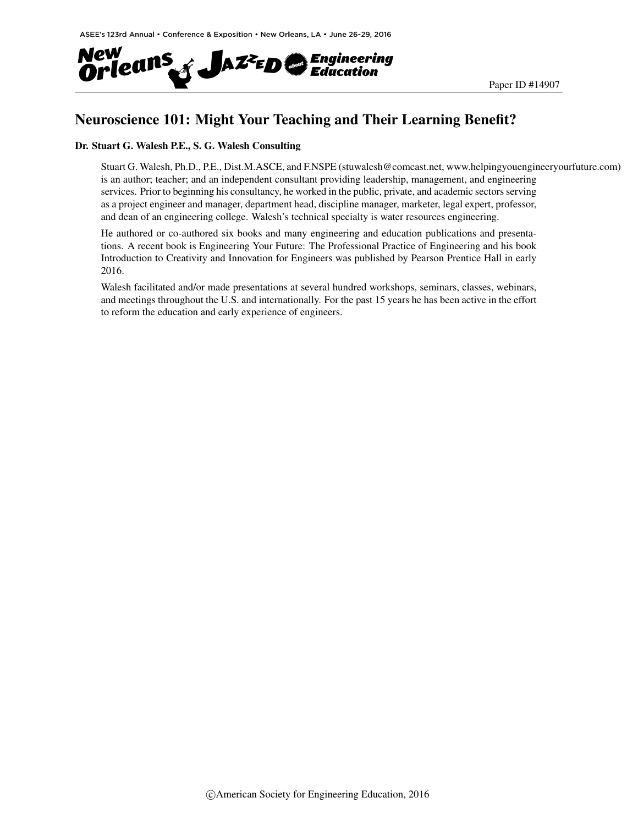

## Neuroscience 101: Might Your Teaching and Their Learning Benefit?

#### Dr. Stuart G. Walesh P.E., S. G. Walesh Consulting

Stuart G. Walesh, Ph.D., P.E., Dist.M.ASCE, and F.NSPE (stuwalesh@comcast.net, www.helpingyouengineeryourfuture.com) is an author; teacher; and an independent consultant providing leadership, management, and engineering services. Prior to beginning his consultancy, he worked in the public, private, and academic sectors serving as a project engineer and manager, department head, discipline manager, marketer, legal expert, professor, and dean of an engineering college. Walesh's technical specialty is water resources engineering.

He authored or co-authored six books and many engineering and education publications and presentations. A recent book is Engineering Your Future: The Professional Practice of Engineering and his book Introduction to Creativity and Innovation for Engineers was published by Pearson Prentice Hall in early 2016.

Walesh facilitated and/or made presentations at several hundred workshops, seminars, classes, webinars, and meetings throughout the U.S. and internationally. For the past 15 years he has been active in the effort to reform the education and early experience of engineers.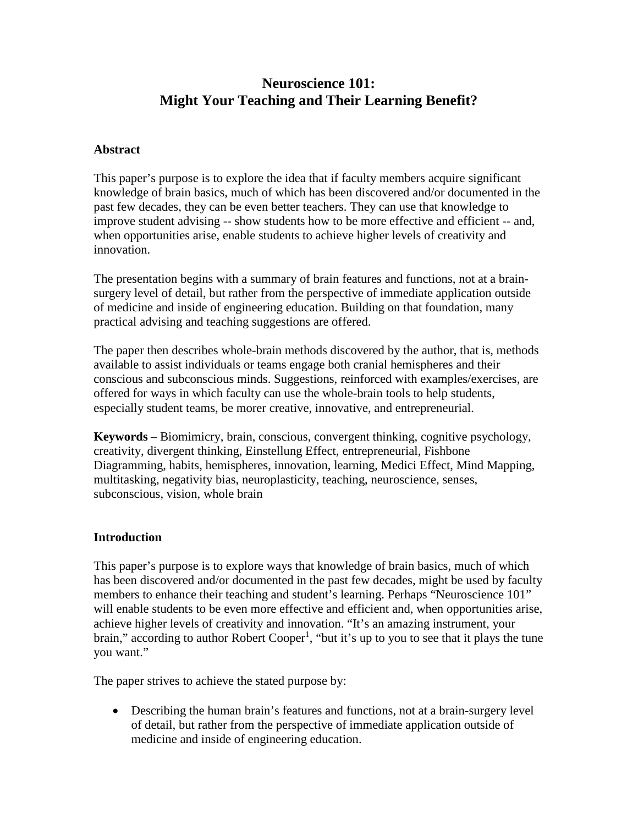## **Neuroscience 101: Might Your Teaching and Their Learning Benefit?**

### **Abstract**

This paper's purpose is to explore the idea that if faculty members acquire significant knowledge of brain basics, much of which has been discovered and/or documented in the past few decades, they can be even better teachers. They can use that knowledge to improve student advising -- show students how to be more effective and efficient -- and, when opportunities arise, enable students to achieve higher levels of creativity and innovation.

The presentation begins with a summary of brain features and functions, not at a brainsurgery level of detail, but rather from the perspective of immediate application outside of medicine and inside of engineering education. Building on that foundation, many practical advising and teaching suggestions are offered.

The paper then describes whole-brain methods discovered by the author, that is, methods available to assist individuals or teams engage both cranial hemispheres and their conscious and subconscious minds. Suggestions, reinforced with examples/exercises, are offered for ways in which faculty can use the whole-brain tools to help students, especially student teams, be morer creative, innovative, and entrepreneurial.

**Keywords** – Biomimicry, brain, conscious, convergent thinking, cognitive psychology, creativity, divergent thinking, Einstellung Effect, entrepreneurial, Fishbone Diagramming, habits, hemispheres, innovation, learning, Medici Effect, Mind Mapping, multitasking, negativity bias, neuroplasticity, teaching, neuroscience, senses, subconscious, vision, whole brain

### **Introduction**

This paper's purpose is to explore ways that knowledge of brain basics, much of which has been discovered and/or documented in the past few decades, might be used by faculty members to enhance their teaching and student's learning. Perhaps "Neuroscience 101" will enable students to be even more effective and efficient and, when opportunities arise, achieve higher levels of creativity and innovation. "It's an amazing instrument, your brain," according to author Robert Cooper<sup>1</sup>, "but it's up to you to see that it plays the tune you want."

The paper strives to achieve the stated purpose by:

• Describing the human brain's features and functions, not at a brain-surgery level of detail, but rather from the perspective of immediate application outside of medicine and inside of engineering education.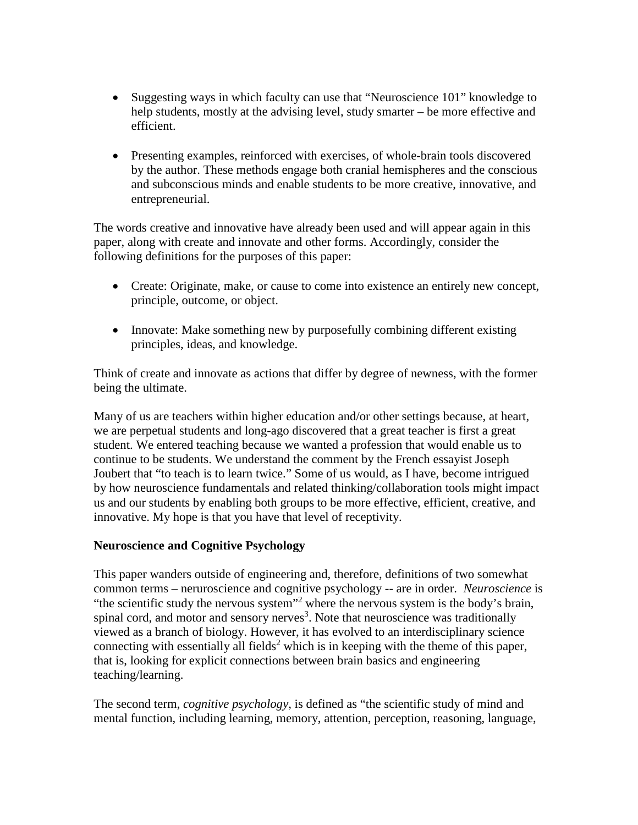- Suggesting ways in which faculty can use that "Neuroscience 101" knowledge to help students, mostly at the advising level, study smarter – be more effective and efficient.
- Presenting examples, reinforced with exercises, of whole-brain tools discovered by the author. These methods engage both cranial hemispheres and the conscious and subconscious minds and enable students to be more creative, innovative, and entrepreneurial.

The words creative and innovative have already been used and will appear again in this paper, along with create and innovate and other forms. Accordingly, consider the following definitions for the purposes of this paper:

- Create: Originate, make, or cause to come into existence an entirely new concept, principle, outcome, or object.
- Innovate: Make something new by purposefully combining different existing principles, ideas, and knowledge.

Think of create and innovate as actions that differ by degree of newness, with the former being the ultimate.

Many of us are teachers within higher education and/or other settings because, at heart, we are perpetual students and long-ago discovered that a great teacher is first a great student. We entered teaching because we wanted a profession that would enable us to continue to be students. We understand the comment by the French essayist Joseph Joubert that "to teach is to learn twice." Some of us would, as I have, become intrigued by how neuroscience fundamentals and related thinking/collaboration tools might impact us and our students by enabling both groups to be more effective, efficient, creative, and innovative. My hope is that you have that level of receptivity.

### **Neuroscience and Cognitive Psychology**

This paper wanders outside of engineering and, therefore, definitions of two somewhat common terms – neruroscience and cognitive psychology -- are in order. *Neuroscience* is "the scientific study the nervous system"<sup>2</sup> where the nervous system is the body's brain, spinal cord, and motor and sensory nerves<sup>3</sup>. Note that neuroscience was traditionally viewed as a branch of biology. However, it has evolved to an interdisciplinary science connecting with essentially all fields<sup>2</sup> which is in keeping with the theme of this paper, that is, looking for explicit connections between brain basics and engineering teaching/learning.

The second term, *cognitive psychology,* is defined as "the scientific study of mind and mental function, including learning, memory, attention, perception, reasoning, language,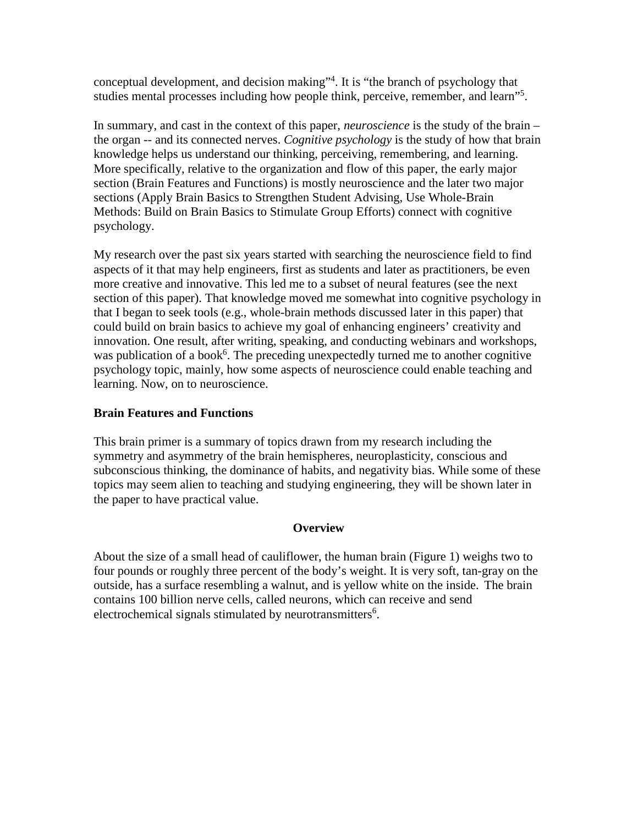conceptual development, and decision making"4 . It is "the branch of psychology that studies mental processes including how people think, perceive, remember, and learn"<sup>5</sup>.

In summary, and cast in the context of this paper, *neuroscience* is the study of the brain – the organ -- and its connected nerves. *Cognitive psychology* is the study of how that brain knowledge helps us understand our thinking, perceiving, remembering, and learning. More specifically, relative to the organization and flow of this paper, the early major section (Brain Features and Functions) is mostly neuroscience and the later two major sections (Apply Brain Basics to Strengthen Student Advising, Use Whole-Brain Methods: Build on Brain Basics to Stimulate Group Efforts) connect with cognitive psychology.

My research over the past six years started with searching the neuroscience field to find aspects of it that may help engineers, first as students and later as practitioners, be even more creative and innovative. This led me to a subset of neural features (see the next section of this paper). That knowledge moved me somewhat into cognitive psychology in that I began to seek tools (e.g., whole-brain methods discussed later in this paper) that could build on brain basics to achieve my goal of enhancing engineers' creativity and innovation. One result, after writing, speaking, and conducting webinars and workshops, was publication of a book<sup>6</sup>. The preceding unexpectedly turned me to another cognitive psychology topic, mainly, how some aspects of neuroscience could enable teaching and learning. Now, on to neuroscience.

### **Brain Features and Functions**

This brain primer is a summary of topics drawn from my research including the symmetry and asymmetry of the brain hemispheres, neuroplasticity, conscious and subconscious thinking, the dominance of habits, and negativity bias. While some of these topics may seem alien to teaching and studying engineering, they will be shown later in the paper to have practical value.

### **Overview**

About the size of a small head of cauliflower, the human brain (Figure 1) weighs two to four pounds or roughly three percent of the body's weight. It is very soft, tan-gray on the outside, has a surface resembling a walnut, and is yellow white on the inside. The brain contains 100 billion nerve cells, called neurons, which can receive and send electrochemical signals stimulated by neurotransmitters<sup>6</sup>.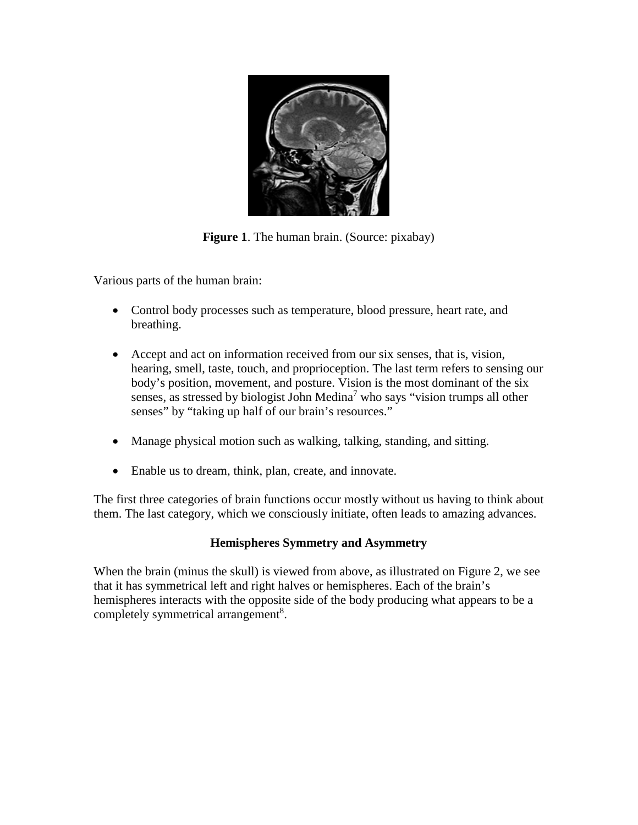

**Figure 1**. The human brain. (Source: pixabay)

Various parts of the human brain:

- Control body processes such as temperature, blood pressure, heart rate, and breathing.
- Accept and act on information received from our six senses, that is, vision, hearing, smell, taste, touch, and proprioception. The last term refers to sensing our body's position, movement, and posture. Vision is the most dominant of the six senses, as stressed by biologist John Medina<sup>7</sup> who says "vision trumps all other senses" by "taking up half of our brain's resources."
- Manage physical motion such as walking, talking, standing, and sitting.
- Enable us to dream, think, plan, create, and innovate.

The first three categories of brain functions occur mostly without us having to think about them. The last category, which we consciously initiate, often leads to amazing advances.

### **Hemispheres Symmetry and Asymmetry**

When the brain (minus the skull) is viewed from above, as illustrated on Figure 2, we see that it has symmetrical left and right halves or hemispheres. Each of the brain's hemispheres interacts with the opposite side of the body producing what appears to be a completely symmetrical arrangement<sup>8</sup>.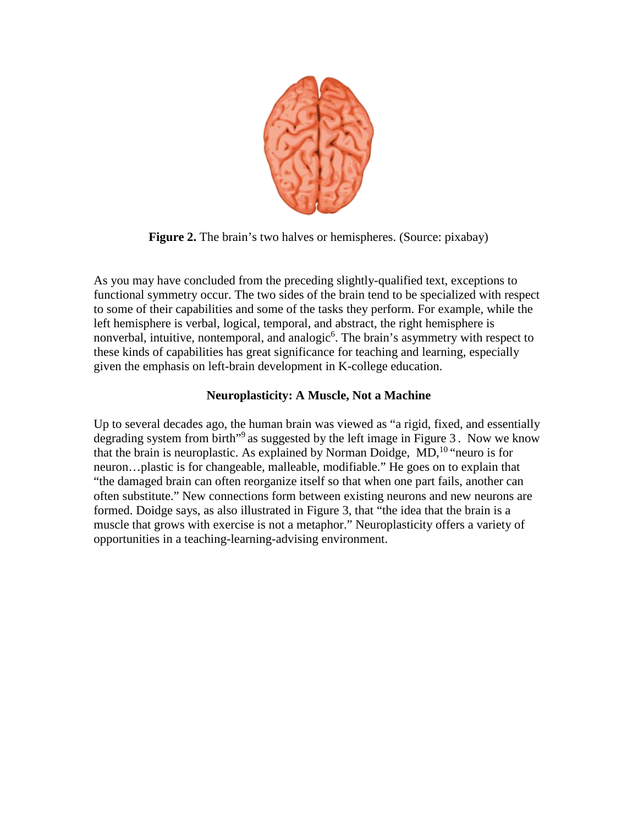

**Figure 2.** The brain's two halves or hemispheres. (Source: pixabay)

As you may have concluded from the preceding slightly-qualified text, exceptions to functional symmetry occur. The two sides of the brain tend to be specialized with respect to some of their capabilities and some of the tasks they perform. For example, while the left hemisphere is verbal, logical, temporal, and abstract, the right hemisphere is nonverbal, intuitive, nontemporal, and analogic<sup>6</sup>. The brain's asymmetry with respect to these kinds of capabilities has great significance for teaching and learning, especially given the emphasis on left-brain development in K-college education.

### **Neuroplasticity: A Muscle, Not a Machine**

Up to several decades ago, the human brain was viewed as "a rigid, fixed, and essentially degrading system from birth<sup>"9</sup> as suggested by the left image in Figure 3. Now we know that the brain is neuroplastic. As explained by Norman Doidge,  $MD<sub>10</sub><sup>10</sup>$  "neuro is for neuron…plastic is for changeable, malleable, modifiable." He goes on to explain that "the damaged brain can often reorganize itself so that when one part fails, another can often substitute." New connections form between existing neurons and new neurons are formed. Doidge says, as also illustrated in Figure 3, that "the idea that the brain is a muscle that grows with exercise is not a metaphor." Neuroplasticity offers a variety of opportunities in a teaching-learning-advising environment.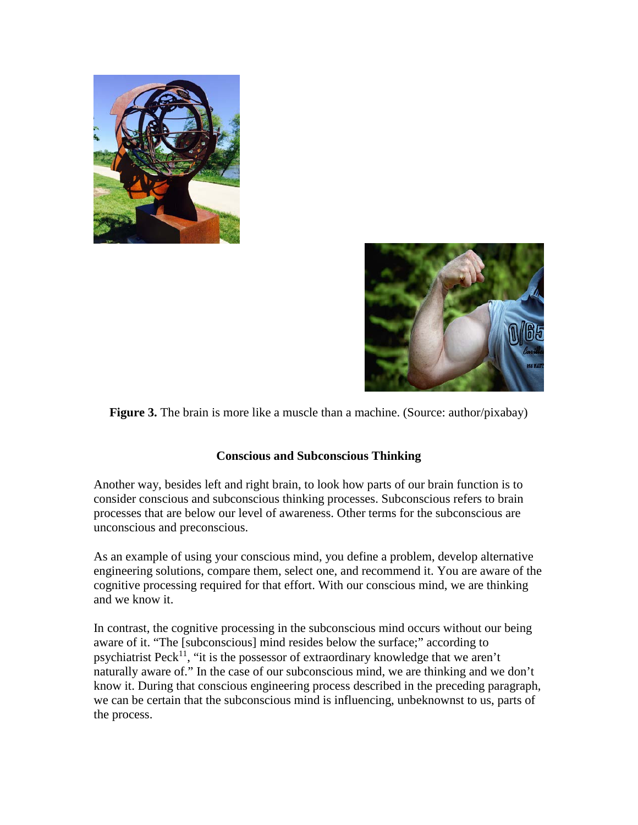



**Figure 3.** The brain is more like a muscle than a machine. (Source: author/pixabay)

### **Conscious and Subconscious Thinking**

Another way, besides left and right brain, to look how parts of our brain function is to consider conscious and subconscious thinking processes. Subconscious refers to brain processes that are below our level of awareness. Other terms for the subconscious are unconscious and preconscious.

As an example of using your conscious mind, you define a problem, develop alternative engineering solutions, compare them, select one, and recommend it. You are aware of the cognitive processing required for that effort. With our conscious mind, we are thinking and we know it.

In contrast, the cognitive processing in the subconscious mind occurs without our being aware of it. "The [subconscious] mind resides below the surface;" according to psychiatrist Peck<sup>11</sup>, "it is the possessor of extraordinary knowledge that we aren't naturally aware of." In the case of our subconscious mind, we are thinking and we don't know it. During that conscious engineering process described in the preceding paragraph, we can be certain that the subconscious mind is influencing, unbeknownst to us, parts of the process.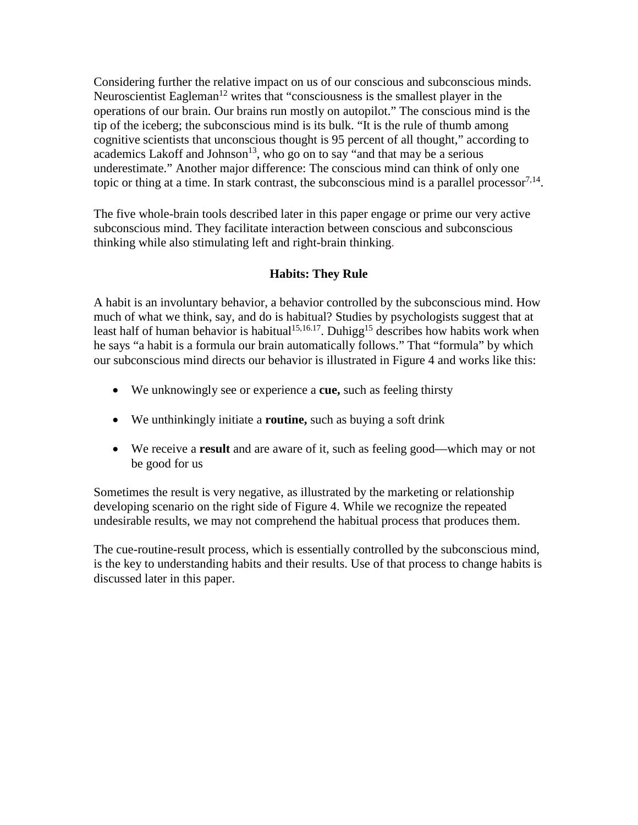Considering further the relative impact on us of our conscious and subconscious minds. Neuroscientist Eagleman<sup>12</sup> writes that "consciousness is the smallest player in the operations of our brain. Our brains run mostly on autopilot." The conscious mind is the tip of the iceberg; the subconscious mind is its bulk. "It is the rule of thumb among cognitive scientists that unconscious thought is 95 percent of all thought," according to  $\alpha$ cademics Lakoff and Johnson<sup>13</sup>, who go on to say "and that may be a serious underestimate." Another major difference: The conscious mind can think of only one topic or thing at a time. In stark contrast, the subconscious mind is a parallel processor $^{7,14}$ .

The five whole-brain tools described later in this paper engage or prime our very active subconscious mind. They facilitate interaction between conscious and subconscious thinking while also stimulating left and right-brain thinking.

### **Habits: They Rule**

A habit is an involuntary behavior, a behavior controlled by the subconscious mind. How much of what we think, say, and do is habitual? Studies by psychologists suggest that at least half of human behavior is habitual<sup>15,16.17</sup>. Duhigg<sup>15</sup> describes how habits work when he says "a habit is a formula our brain automatically follows." That "formula" by which our subconscious mind directs our behavior is illustrated in Figure 4 and works like this:

- We unknowingly see or experience a **cue,** such as feeling thirsty
- We unthinkingly initiate a **routine,** such as buying a soft drink
- We receive a **result** and are aware of it, such as feeling good—which may or not be good for us

Sometimes the result is very negative, as illustrated by the marketing or relationship developing scenario on the right side of Figure 4. While we recognize the repeated undesirable results, we may not comprehend the habitual process that produces them.

The cue-routine-result process, which is essentially controlled by the subconscious mind, is the key to understanding habits and their results. Use of that process to change habits is discussed later in this paper.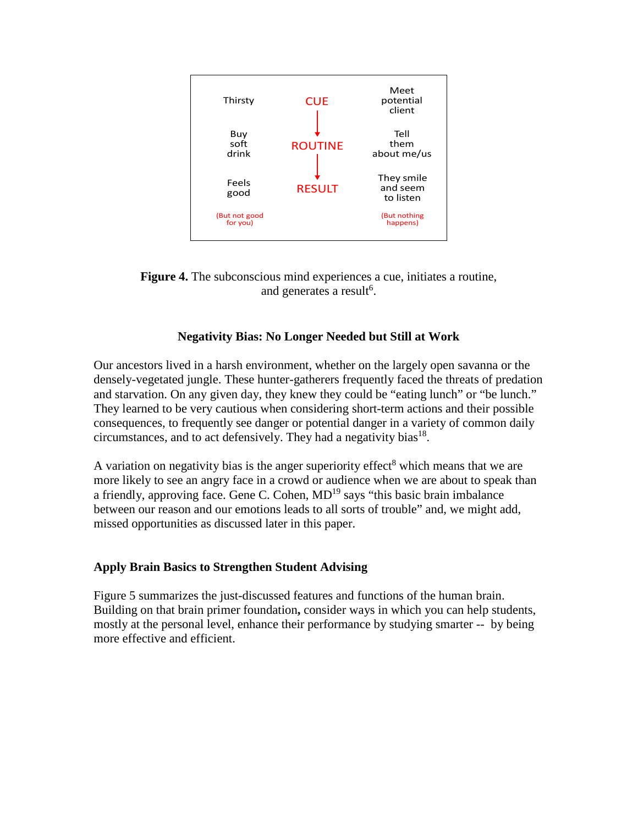

**Figure 4.** The subconscious mind experiences a cue, initiates a routine, and generates a result<sup>6</sup>.

### **Negativity Bias: No Longer Needed but Still at Work**

Our ancestors lived in a harsh environment, whether on the largely open savanna or the densely-vegetated jungle. These hunter-gatherers frequently faced the threats of predation and starvation. On any given day, they knew they could be "eating lunch" or "be lunch." They learned to be very cautious when considering short-term actions and their possible consequences, to frequently see danger or potential danger in a variety of common daily circumstances, and to act defensively. They had a negativity bias $^{18}$ .

A variation on negativity bias is the anger superiority effect<sup>8</sup> which means that we are more likely to see an angry face in a crowd or audience when we are about to speak than a friendly, approving face. Gene C. Cohen,  $MD^{19}$  says "this basic brain imbalance between our reason and our emotions leads to all sorts of trouble" and, we might add, missed opportunities as discussed later in this paper.

### **Apply Brain Basics to Strengthen Student Advising**

Figure 5 summarizes the just-discussed features and functions of the human brain. Building on that brain primer foundation**,** consider ways in which you can help students, mostly at the personal level, enhance their performance by studying smarter -- by being more effective and efficient.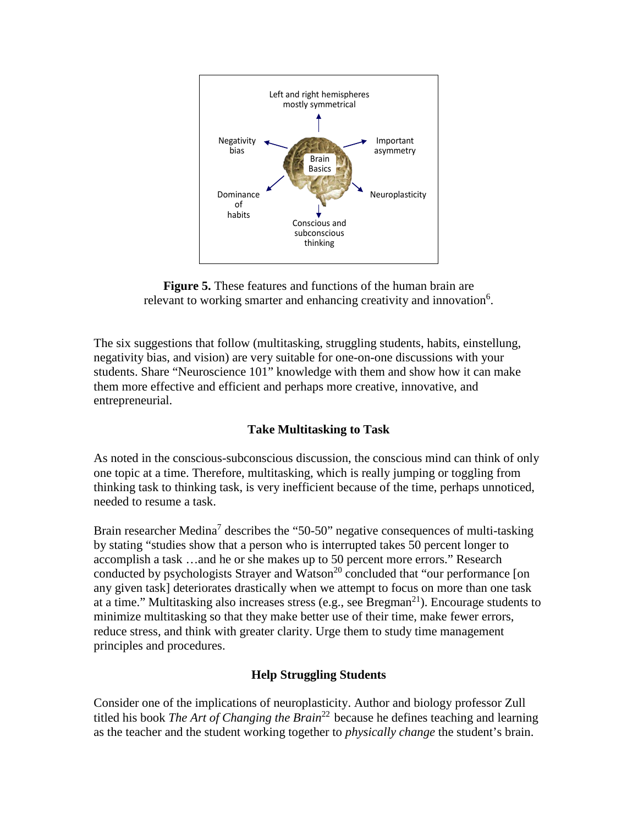



The six suggestions that follow (multitasking, struggling students, habits, einstellung, negativity bias, and vision) are very suitable for one-on-one discussions with your students. Share "Neuroscience 101" knowledge with them and show how it can make them more effective and efficient and perhaps more creative, innovative, and entrepreneurial.

### **Take Multitasking to Task**

As noted in the conscious-subconscious discussion, the conscious mind can think of only one topic at a time. Therefore, multitasking, which is really jumping or toggling from thinking task to thinking task, is very inefficient because of the time, perhaps unnoticed, needed to resume a task.

Brain researcher Medina<sup>7</sup> describes the "50-50" negative consequences of multi-tasking by stating "studies show that a person who is interrupted takes 50 percent longer to accomplish a task …and he or she makes up to 50 percent more errors." Research conducted by psychologists Strayer and Watson<sup>20</sup> concluded that "our performance [on any given task] deteriorates drastically when we attempt to focus on more than one task at a time." Multitasking also increases stress (e.g., see Bregman<sup>21</sup>). Encourage students to minimize multitasking so that they make better use of their time, make fewer errors, reduce stress, and think with greater clarity. Urge them to study time management principles and procedures.

### **Help Struggling Students**

Consider one of the implications of neuroplasticity. Author and biology professor Zull titled his book *The Art of Changing the Brain*<sup>22</sup> because he defines teaching and learning as the teacher and the student working together to *physically change* the student's brain.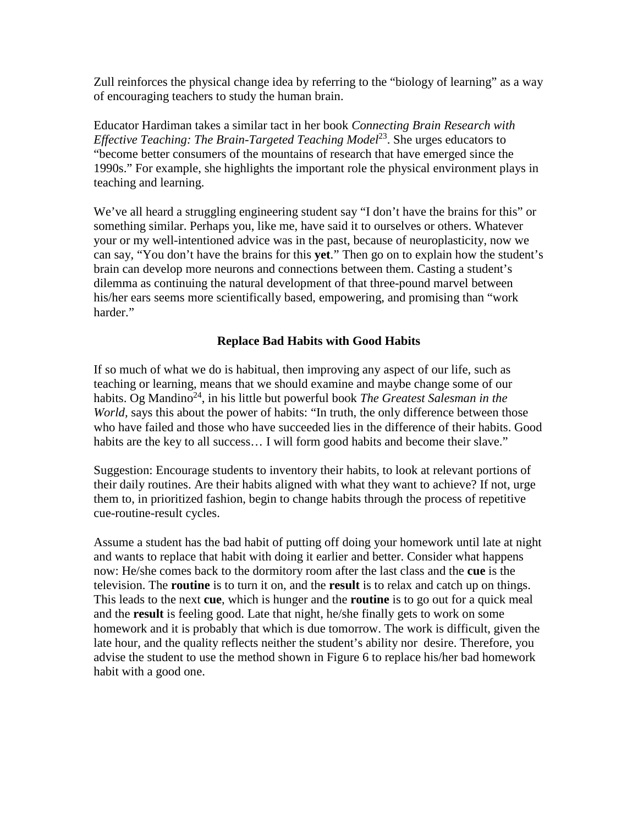Zull reinforces the physical change idea by referring to the "biology of learning" as a way of encouraging teachers to study the human brain.

Educator Hardiman takes a similar tact in her book *Connecting Brain Research with Effective Teaching: The Brain-Targeted Teaching Model*<sup>23</sup>. She urges educators to "become better consumers of the mountains of research that have emerged since the 1990s." For example, she highlights the important role the physical environment plays in teaching and learning.

We've all heard a struggling engineering student say "I don't have the brains for this" or something similar. Perhaps you, like me, have said it to ourselves or others. Whatever your or my well-intentioned advice was in the past, because of neuroplasticity, now we can say, "You don't have the brains for this **yet**." Then go on to explain how the student's brain can develop more neurons and connections between them. Casting a student's dilemma as continuing the natural development of that three-pound marvel between his/her ears seems more scientifically based, empowering, and promising than "work harder."

### **Replace Bad Habits with Good Habits**

If so much of what we do is habitual, then improving any aspect of our life, such as teaching or learning, means that we should examine and maybe change some of our habits. Og Mandino<sup>24</sup>, in his little but powerful book *The Greatest Salesman in the World,* says this about the power of habits: "In truth, the only difference between those who have failed and those who have succeeded lies in the difference of their habits. Good habits are the key to all success... I will form good habits and become their slave."

Suggestion: Encourage students to inventory their habits, to look at relevant portions of their daily routines. Are their habits aligned with what they want to achieve? If not, urge them to, in prioritized fashion, begin to change habits through the process of repetitive cue-routine-result cycles.

Assume a student has the bad habit of putting off doing your homework until late at night and wants to replace that habit with doing it earlier and better. Consider what happens now: He/she comes back to the dormitory room after the last class and the **cue** is the television. The **routine** is to turn it on, and the **result** is to relax and catch up on things. This leads to the next **cue**, which is hunger and the **routine** is to go out for a quick meal and the **result** is feeling good. Late that night, he/she finally gets to work on some homework and it is probably that which is due tomorrow. The work is difficult, given the late hour, and the quality reflects neither the student's ability nor desire. Therefore, you advise the student to use the method shown in Figure 6 to replace his/her bad homework habit with a good one.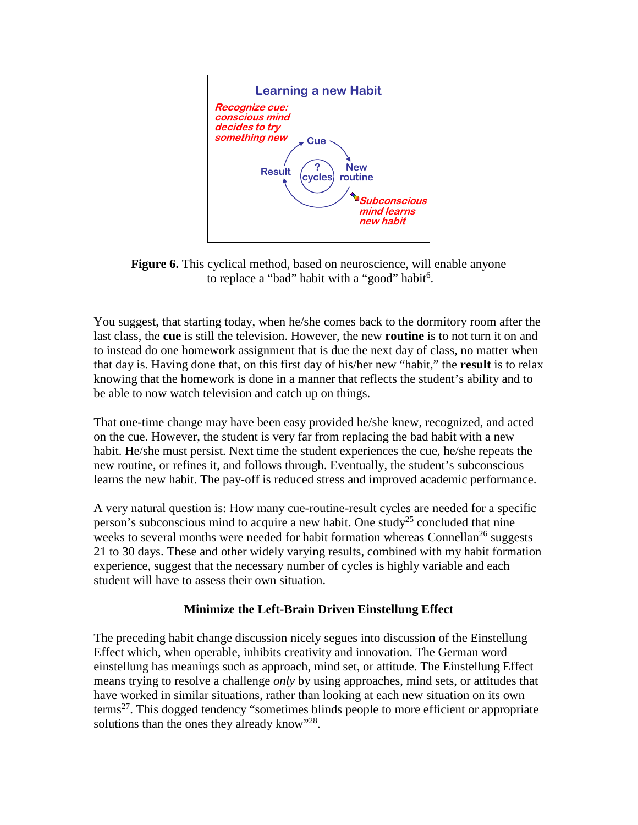

**Figure 6.** This cyclical method, based on neuroscience, will enable anyone to replace a "bad" habit with a "good" habit<sup>6</sup>.

You suggest, that starting today, when he/she comes back to the dormitory room after the last class, the **cue** is still the television. However, the new **routine** is to not turn it on and to instead do one homework assignment that is due the next day of class, no matter when that day is. Having done that, on this first day of his/her new "habit," the **result** is to relax knowing that the homework is done in a manner that reflects the student's ability and to be able to now watch television and catch up on things.

That one-time change may have been easy provided he/she knew, recognized, and acted on the cue. However, the student is very far from replacing the bad habit with a new habit. He/she must persist. Next time the student experiences the cue, he/she repeats the new routine, or refines it, and follows through. Eventually, the student's subconscious learns the new habit. The pay-off is reduced stress and improved academic performance.

A very natural question is: How many cue-routine-result cycles are needed for a specific person's subconscious mind to acquire a new habit. One study<sup>25</sup> concluded that nine weeks to several months were needed for habit formation whereas Connellan<sup>26</sup> suggests 21 to 30 days. These and other widely varying results, combined with my habit formation experience, suggest that the necessary number of cycles is highly variable and each student will have to assess their own situation.

### **Minimize the Left-Brain Driven Einstellung Effect**

The preceding habit change discussion nicely segues into discussion of the Einstellung Effect which, when operable, inhibits creativity and innovation. The German word einstellung has meanings such as approach, mind set, or attitude. The Einstellung Effect means trying to resolve a challenge *only* by using approaches, mind sets, or attitudes that have worked in similar situations, rather than looking at each new situation on its own terms<sup>27</sup>. This dogged tendency "sometimes blinds people to more efficient or appropriate solutions than the ones they already know"<sup>28</sup>.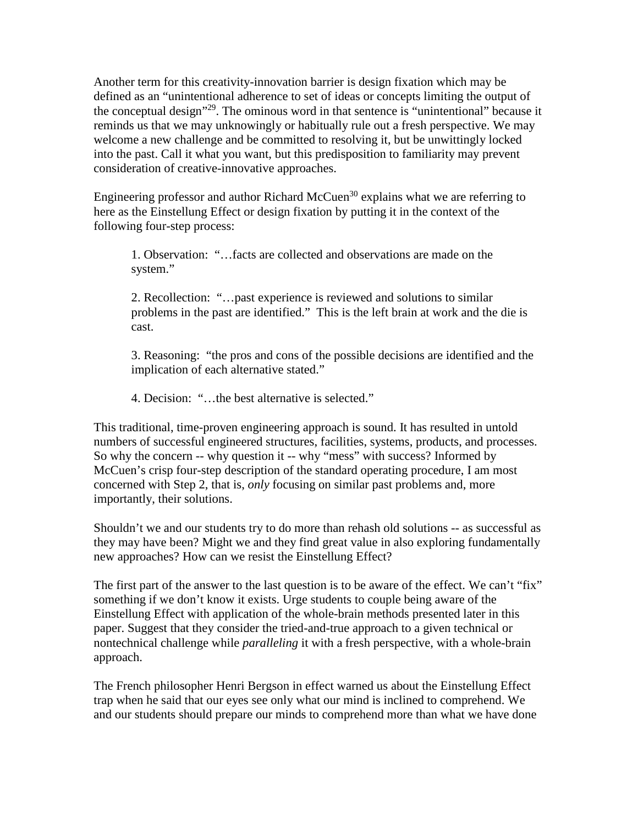Another term for this creativity-innovation barrier is design fixation which may be defined as an "unintentional adherence to set of ideas or concepts limiting the output of the conceptual design"<sup>29</sup>. The ominous word in that sentence is "unintentional" because it reminds us that we may unknowingly or habitually rule out a fresh perspective. We may welcome a new challenge and be committed to resolving it, but be unwittingly locked into the past. Call it what you want, but this predisposition to familiarity may prevent consideration of creative-innovative approaches.

Engineering professor and author Richard McCuen<sup>30</sup> explains what we are referring to here as the Einstellung Effect or design fixation by putting it in the context of the following four-step process:

1. Observation: "…facts are collected and observations are made on the system."

2. Recollection: "…past experience is reviewed and solutions to similar problems in the past are identified." This is the left brain at work and the die is cast.

3. Reasoning: "the pros and cons of the possible decisions are identified and the implication of each alternative stated."

4. Decision: "…the best alternative is selected."

This traditional, time-proven engineering approach is sound. It has resulted in untold numbers of successful engineered structures, facilities, systems, products, and processes. So why the concern -- why question it -- why "mess" with success? Informed by McCuen's crisp four-step description of the standard operating procedure, I am most concerned with Step 2, that is, *only* focusing on similar past problems and, more importantly, their solutions.

Shouldn't we and our students try to do more than rehash old solutions -- as successful as they may have been? Might we and they find great value in also exploring fundamentally new approaches? How can we resist the Einstellung Effect?

The first part of the answer to the last question is to be aware of the effect. We can't "fix" something if we don't know it exists. Urge students to couple being aware of the Einstellung Effect with application of the whole-brain methods presented later in this paper. Suggest that they consider the tried-and-true approach to a given technical or nontechnical challenge while *paralleling* it with a fresh perspective, with a whole-brain approach.

The French philosopher Henri Bergson in effect warned us about the Einstellung Effect trap when he said that our eyes see only what our mind is inclined to comprehend. We and our students should prepare our minds to comprehend more than what we have done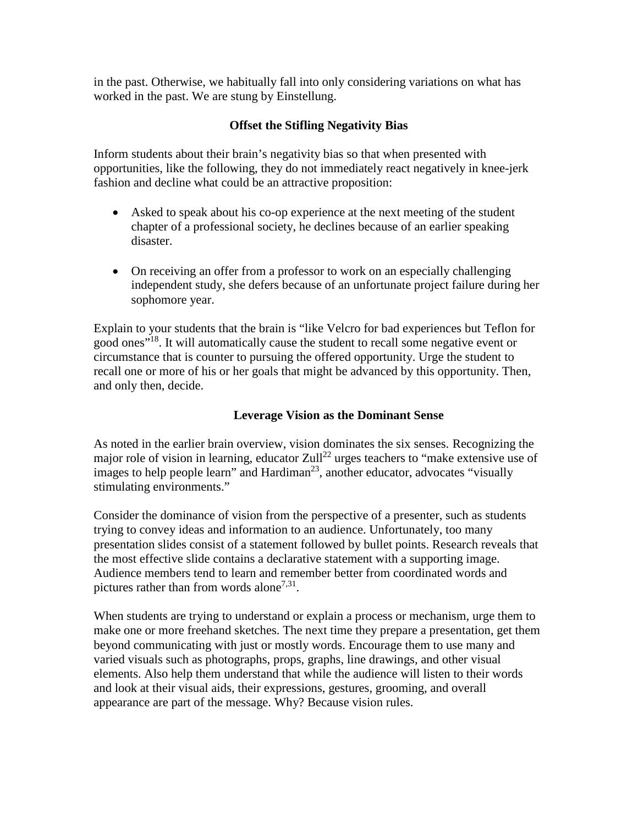in the past. Otherwise, we habitually fall into only considering variations on what has worked in the past. We are stung by Einstellung.

### **Offset the Stifling Negativity Bias**

Inform students about their brain's negativity bias so that when presented with opportunities, like the following, they do not immediately react negatively in knee-jerk fashion and decline what could be an attractive proposition:

- Asked to speak about his co-op experience at the next meeting of the student chapter of a professional society, he declines because of an earlier speaking disaster.
- On receiving an offer from a professor to work on an especially challenging independent study, she defers because of an unfortunate project failure during her sophomore year.

Explain to your students that the brain is "like Velcro for bad experiences but Teflon for good ones"<sup>18</sup>. It will automatically cause the student to recall some negative event or circumstance that is counter to pursuing the offered opportunity. Urge the student to recall one or more of his or her goals that might be advanced by this opportunity. Then, and only then, decide.

### **Leverage Vision as the Dominant Sense**

As noted in the earlier brain overview, vision dominates the six senses. Recognizing the major role of vision in learning, educator Zull<sup>22</sup> urges teachers to "make extensive use of images to help people learn" and Hardiman<sup>23</sup>, another educator, advocates "visually stimulating environments."

Consider the dominance of vision from the perspective of a presenter, such as students trying to convey ideas and information to an audience. Unfortunately, too many presentation slides consist of a statement followed by bullet points. Research reveals that the most effective slide contains a declarative statement with a supporting image. Audience members tend to learn and remember better from coordinated words and pictures rather than from words alone<sup>7,31</sup>.

When students are trying to understand or explain a process or mechanism, urge them to make one or more freehand sketches. The next time they prepare a presentation, get them beyond communicating with just or mostly words. Encourage them to use many and varied visuals such as photographs, props, graphs, line drawings, and other visual elements. Also help them understand that while the audience will listen to their words and look at their visual aids, their expressions, gestures, grooming, and overall appearance are part of the message. Why? Because vision rules.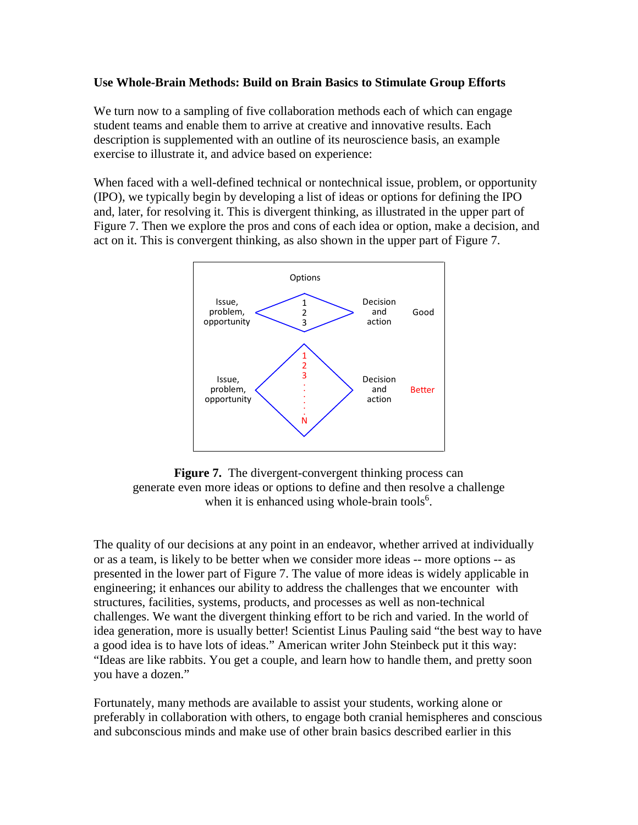### **Use Whole-Brain Methods: Build on Brain Basics to Stimulate Group Efforts**

We turn now to a sampling of five collaboration methods each of which can engage student teams and enable them to arrive at creative and innovative results. Each description is supplemented with an outline of its neuroscience basis, an example exercise to illustrate it, and advice based on experience:

When faced with a well-defined technical or nontechnical issue, problem, or opportunity (IPO), we typically begin by developing a list of ideas or options for defining the IPO and, later, for resolving it. This is divergent thinking, as illustrated in the upper part of Figure 7. Then we explore the pros and cons of each idea or option, make a decision, and act on it. This is convergent thinking, as also shown in the upper part of Figure 7.



**Figure 7.** The divergent-convergent thinking process can generate even more ideas or options to define and then resolve a challenge when it is enhanced using whole-brain tools<sup>6</sup>.

The quality of our decisions at any point in an endeavor, whether arrived at individually or as a team, is likely to be better when we consider more ideas -- more options -- as presented in the lower part of Figure 7. The value of more ideas is widely applicable in engineering; it enhances our ability to address the challenges that we encounter with structures, facilities, systems, products, and processes as well as non-technical challenges. We want the divergent thinking effort to be rich and varied. In the world of idea generation, more is usually better! Scientist Linus Pauling said "the best way to have a good idea is to have lots of ideas." American writer John Steinbeck put it this way: "Ideas are like rabbits. You get a couple, and learn how to handle them, and pretty soon you have a dozen."

Fortunately, many methods are available to assist your students, working alone or preferably in collaboration with others, to engage both cranial hemispheres and conscious and subconscious minds and make use of other brain basics described earlier in this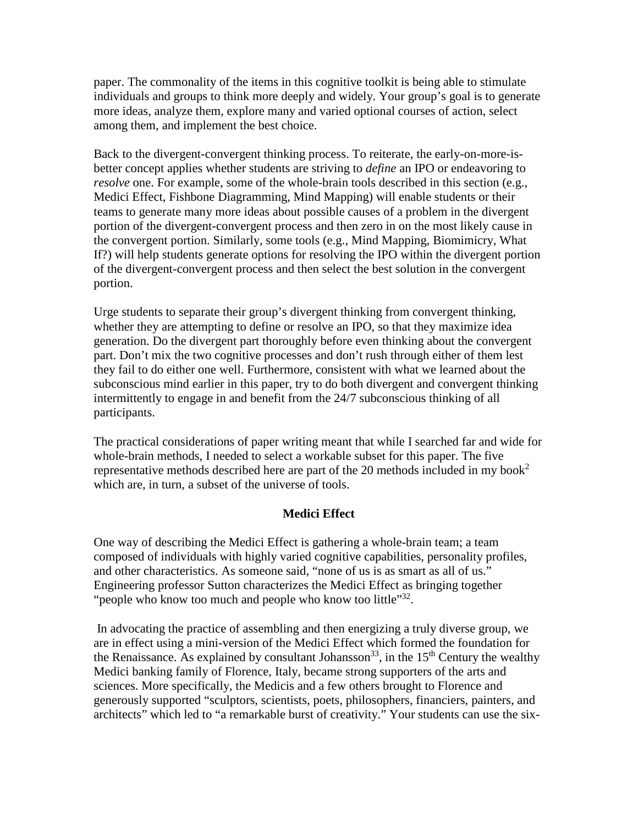paper. The commonality of the items in this cognitive toolkit is being able to stimulate individuals and groups to think more deeply and widely. Your group's goal is to generate more ideas, analyze them, explore many and varied optional courses of action, select among them, and implement the best choice.

Back to the divergent-convergent thinking process. To reiterate, the early-on-more-isbetter concept applies whether students are striving to *define* an IPO or endeavoring to *resolve* one. For example, some of the whole-brain tools described in this section (e.g., Medici Effect, Fishbone Diagramming, Mind Mapping) will enable students or their teams to generate many more ideas about possible causes of a problem in the divergent portion of the divergent-convergent process and then zero in on the most likely cause in the convergent portion. Similarly, some tools (e.g., Mind Mapping, Biomimicry, What If?) will help students generate options for resolving the IPO within the divergent portion of the divergent-convergent process and then select the best solution in the convergent portion.

Urge students to separate their group's divergent thinking from convergent thinking, whether they are attempting to define or resolve an IPO, so that they maximize idea generation. Do the divergent part thoroughly before even thinking about the convergent part. Don't mix the two cognitive processes and don't rush through either of them lest they fail to do either one well. Furthermore, consistent with what we learned about the subconscious mind earlier in this paper, try to do both divergent and convergent thinking intermittently to engage in and benefit from the 24/7 subconscious thinking of all participants.

The practical considerations of paper writing meant that while I searched far and wide for whole-brain methods, I needed to select a workable subset for this paper. The five representative methods described here are part of the 20 methods included in my book<sup>2</sup> which are, in turn, a subset of the universe of tools.

### **Medici Effect**

One way of describing the Medici Effect is gathering a whole-brain team; a team composed of individuals with highly varied cognitive capabilities, personality profiles, and other characteristics. As someone said, "none of us is as smart as all of us." Engineering professor Sutton characterizes the Medici Effect as bringing together "people who know too much and people who know too little"<sup>32</sup>.

In advocating the practice of assembling and then energizing a truly diverse group, we are in effect using a mini-version of the Medici Effect which formed the foundation for the Renaissance. As explained by consultant Johansson<sup>33</sup>, in the  $15<sup>th</sup>$  Century the wealthy Medici banking family of Florence, Italy, became strong supporters of the arts and sciences. More specifically, the Medicis and a few others brought to Florence and generously supported "sculptors, scientists, poets, philosophers, financiers, painters, and architects" which led to "a remarkable burst of creativity." Your students can use the six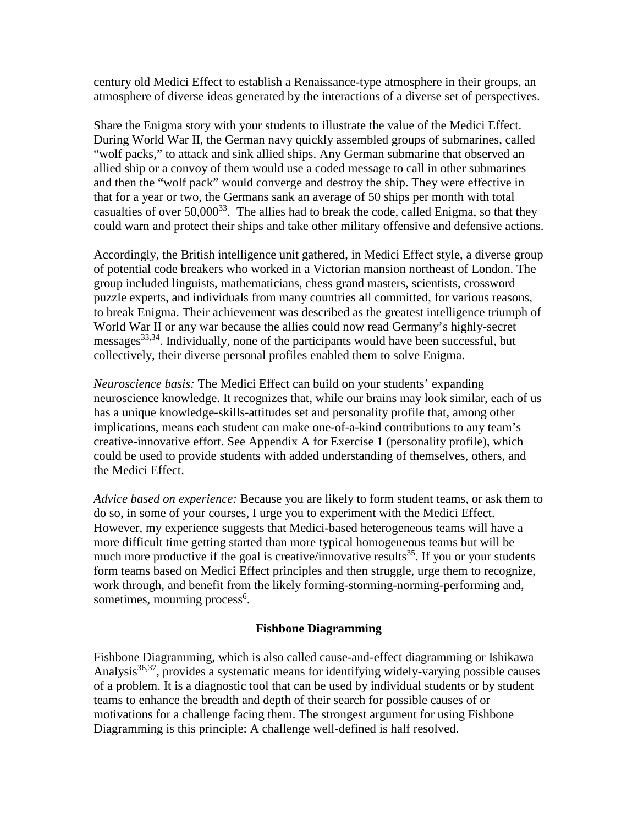century old Medici Effect to establish a Renaissance-type atmosphere in their groups, an atmosphere of diverse ideas generated by the interactions of a diverse set of perspectives.

Share the Enigma story with your students to illustrate the value of the Medici Effect. During World War II, the German navy quickly assembled groups of submarines, called "wolf packs," to attack and sink allied ships. Any German submarine that observed an allied ship or a convoy of them would use a coded message to call in other submarines and then the "wolf pack" would converge and destroy the ship. They were effective in that for a year or two, the Germans sank an average of 50 ships per month with total casualties of over  $50,000^{33}$ . The allies had to break the code, called Enigma, so that they could warn and protect their ships and take other military offensive and defensive actions.

Accordingly, the British intelligence unit gathered, in Medici Effect style, a diverse group of potential code breakers who worked in a Victorian mansion northeast of London. The group included linguists, mathematicians, chess grand masters, scientists, crossword puzzle experts, and individuals from many countries all committed, for various reasons, to break Enigma. Their achievement was described as the greatest intelligence triumph of World War II or any war because the allies could now read Germany's highly-secret messages<sup>33,34</sup>. Individually, none of the participants would have been successful, but collectively, their diverse personal profiles enabled them to solve Enigma.

*Neuroscience basis:* The Medici Effect can build on your students' expanding neuroscience knowledge. It recognizes that, while our brains may look similar, each of us has a unique knowledge-skills-attitudes set and personality profile that, among other implications, means each student can make one-of-a-kind contributions to any team's creative-innovative effort. See Appendix A for Exercise 1 (personality profile), which could be used to provide students with added understanding of themselves, others, and the Medici Effect.

*Advice based on experience:* Because you are likely to form student teams, or ask them to do so, in some of your courses, I urge you to experiment with the Medici Effect. However, my experience suggests that Medici-based heterogeneous teams will have a more difficult time getting started than more typical homogeneous teams but will be much more productive if the goal is creative/innovative results<sup>35</sup>. If you or your students form teams based on Medici Effect principles and then struggle, urge them to recognize, work through, and benefit from the likely forming-storming-norming-performing and, sometimes, mourning process<sup>6</sup>.

### **Fishbone Diagramming**

Fishbone Diagramming, which is also called cause-and-effect diagramming or Ishikawa Analysis $36,37$ , provides a systematic means for identifying widely-varying possible causes of a problem. It is a diagnostic tool that can be used by individual students or by student teams to enhance the breadth and depth of their search for possible causes of or motivations for a challenge facing them. The strongest argument for using Fishbone Diagramming is this principle: A challenge well-defined is half resolved.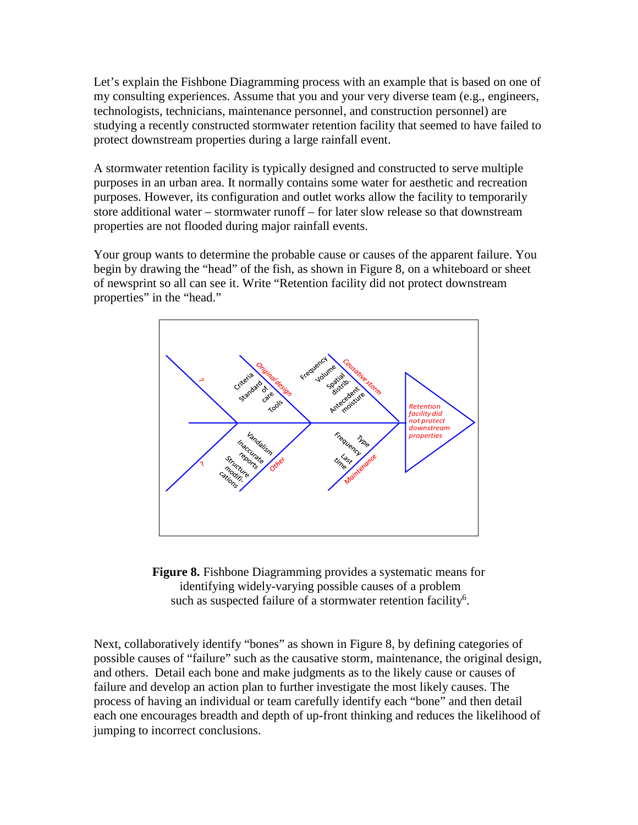Let's explain the Fishbone Diagramming process with an example that is based on one of my consulting experiences. Assume that you and your very diverse team (e.g., engineers, technologists, technicians, maintenance personnel, and construction personnel) are studying a recently constructed stormwater retention facility that seemed to have failed to protect downstream properties during a large rainfall event.

A stormwater retention facility is typically designed and constructed to serve multiple purposes in an urban area. It normally contains some water for aesthetic and recreation purposes. However, its configuration and outlet works allow the facility to temporarily store additional water – stormwater runoff – for later slow release so that downstream properties are not flooded during major rainfall events.

Your group wants to determine the probable cause or causes of the apparent failure. You begin by drawing the "head" of the fish, as shown in Figure 8, on a whiteboard or sheet of newsprint so all can see it. Write "Retention facility did not protect downstream properties" in the "head."





Next, collaboratively identify "bones" as shown in Figure 8, by defining categories of possible causes of "failure" such as the causative storm, maintenance, the original design, and others. Detail each bone and make judgments as to the likely cause or causes of failure and develop an action plan to further investigate the most likely causes. The process of having an individual or team carefully identify each "bone" and then detail each one encourages breadth and depth of up-front thinking and reduces the likelihood of jumping to incorrect conclusions.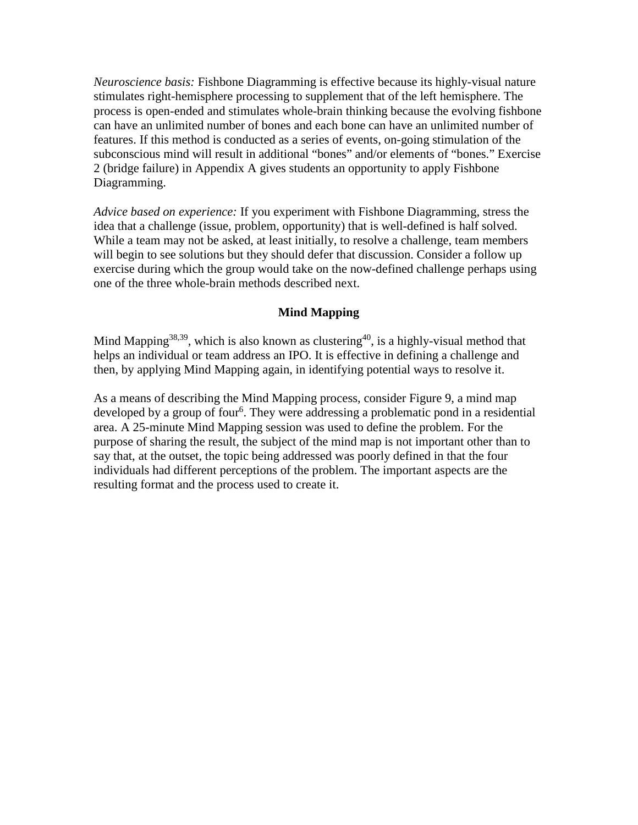*Neuroscience basis:* Fishbone Diagramming is effective because its highly-visual nature stimulates right-hemisphere processing to supplement that of the left hemisphere. The process is open-ended and stimulates whole-brain thinking because the evolving fishbone can have an unlimited number of bones and each bone can have an unlimited number of features. If this method is conducted as a series of events, on-going stimulation of the subconscious mind will result in additional "bones" and/or elements of "bones." Exercise 2 (bridge failure) in Appendix A gives students an opportunity to apply Fishbone Diagramming.

*Advice based on experience:* If you experiment with Fishbone Diagramming, stress the idea that a challenge (issue, problem, opportunity) that is well-defined is half solved. While a team may not be asked, at least initially, to resolve a challenge, team members will begin to see solutions but they should defer that discussion. Consider a follow up exercise during which the group would take on the now-defined challenge perhaps using one of the three whole-brain methods described next.

### **Mind Mapping**

Mind Mapping<sup>38,39</sup>, which is also known as clustering<sup>40</sup>, is a highly-visual method that helps an individual or team address an IPO. It is effective in defining a challenge and then, by applying Mind Mapping again, in identifying potential ways to resolve it.

As a means of describing the Mind Mapping process, consider Figure 9, a mind map developed by a group of four<sup>6</sup>. They were addressing a problematic pond in a residential area. A 25-minute Mind Mapping session was used to define the problem. For the purpose of sharing the result, the subject of the mind map is not important other than to say that, at the outset, the topic being addressed was poorly defined in that the four individuals had different perceptions of the problem. The important aspects are the resulting format and the process used to create it.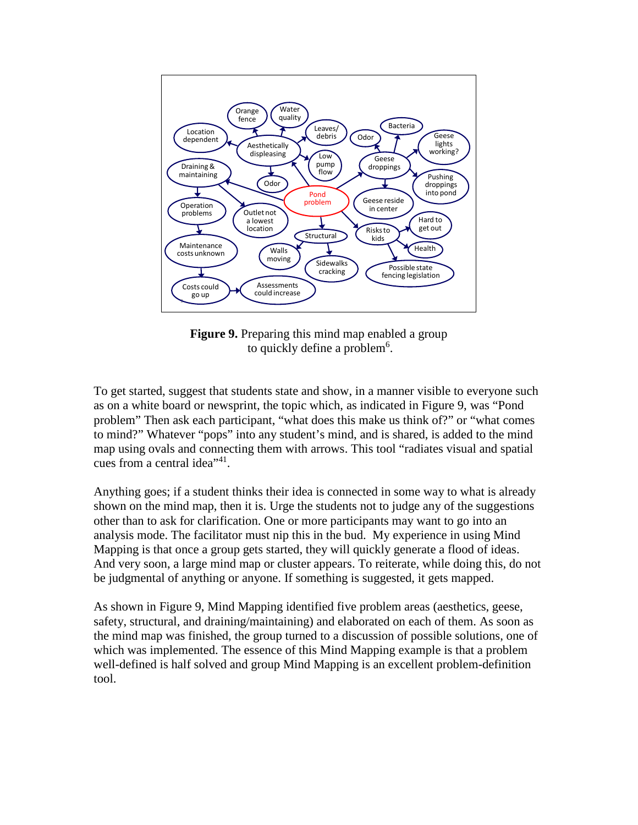

**Figure 9.** Preparing this mind map enabled a group to quickly define a problem<sup>6</sup>.

To get started, suggest that students state and show, in a manner visible to everyone such as on a white board or newsprint, the topic which, as indicated in Figure 9, was "Pond problem" Then ask each participant, "what does this make us think of?" or "what comes to mind?" Whatever "pops" into any student's mind, and is shared, is added to the mind map using ovals and connecting them with arrows. This tool "radiates visual and spatial cues from a central idea<sup>"41</sup>.

Anything goes; if a student thinks their idea is connected in some way to what is already shown on the mind map, then it is. Urge the students not to judge any of the suggestions other than to ask for clarification. One or more participants may want to go into an analysis mode. The facilitator must nip this in the bud. My experience in using Mind Mapping is that once a group gets started, they will quickly generate a flood of ideas. And very soon, a large mind map or cluster appears. To reiterate, while doing this, do not be judgmental of anything or anyone. If something is suggested, it gets mapped.

As shown in Figure 9, Mind Mapping identified five problem areas (aesthetics, geese, safety, structural, and draining/maintaining) and elaborated on each of them. As soon as the mind map was finished, the group turned to a discussion of possible solutions, one of which was implemented. The essence of this Mind Mapping example is that a problem well-defined is half solved and group Mind Mapping is an excellent problem-definition tool.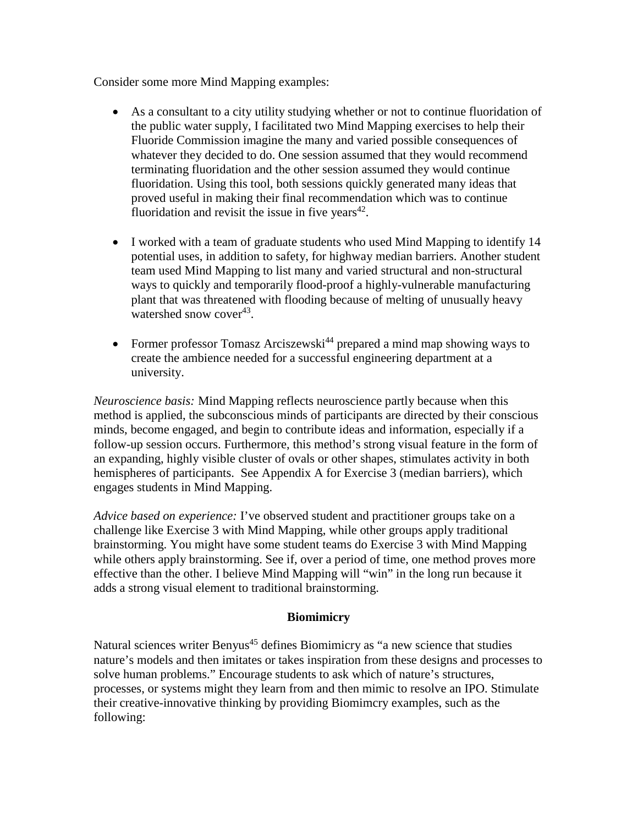Consider some more Mind Mapping examples:

- As a consultant to a city utility studying whether or not to continue fluoridation of the public water supply, I facilitated two Mind Mapping exercises to help their Fluoride Commission imagine the many and varied possible consequences of whatever they decided to do. One session assumed that they would recommend terminating fluoridation and the other session assumed they would continue fluoridation. Using this tool, both sessions quickly generated many ideas that proved useful in making their final recommendation which was to continue fluoridation and revisit the issue in five years $42$ .
- I worked with a team of graduate students who used Mind Mapping to identify 14 potential uses, in addition to safety, for highway median barriers. Another student team used Mind Mapping to list many and varied structural and non-structural ways to quickly and temporarily flood-proof a highly-vulnerable manufacturing plant that was threatened with flooding because of melting of unusually heavy watershed snow cover<sup>43</sup>.
- Former professor Tomasz Arciszewski<sup>44</sup> prepared a mind map showing ways to create the ambience needed for a successful engineering department at a university.

*Neuroscience basis:* Mind Mapping reflects neuroscience partly because when this method is applied, the subconscious minds of participants are directed by their conscious minds, become engaged, and begin to contribute ideas and information, especially if a follow-up session occurs. Furthermore, this method's strong visual feature in the form of an expanding, highly visible cluster of ovals or other shapes, stimulates activity in both hemispheres of participants. See Appendix A for Exercise 3 (median barriers), which engages students in Mind Mapping.

*Advice based on experience:* I've observed student and practitioner groups take on a challenge like Exercise 3 with Mind Mapping, while other groups apply traditional brainstorming. You might have some student teams do Exercise 3 with Mind Mapping while others apply brainstorming. See if, over a period of time, one method proves more effective than the other. I believe Mind Mapping will "win" in the long run because it adds a strong visual element to traditional brainstorming.

### **Biomimicry**

Natural sciences writer Benyus<sup>45</sup> defines Biomimicry as "a new science that studies nature's models and then imitates or takes inspiration from these designs and processes to solve human problems." Encourage students to ask which of nature's structures, processes, or systems might they learn from and then mimic to resolve an IPO. Stimulate their creative-innovative thinking by providing Biomimcry examples, such as the following: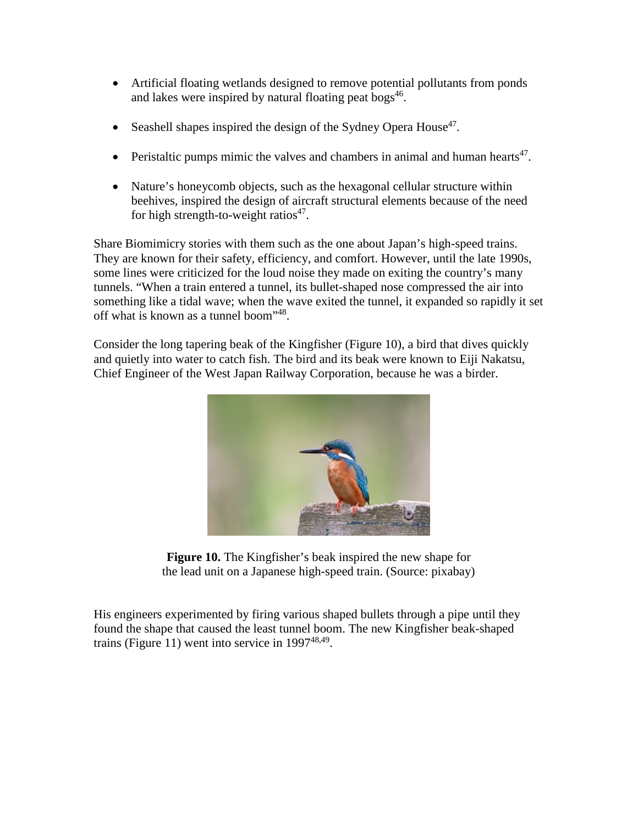- Artificial floating wetlands designed to remove potential pollutants from ponds and lakes were inspired by natural floating peat bogs<sup>46</sup>.
- Seashell shapes inspired the design of the Sydney Opera House<sup>47</sup>.
- Peristaltic pumps mimic the valves and chambers in animal and human hearts<sup>47</sup>.
- Nature's honeycomb objects, such as the hexagonal cellular structure within beehives, inspired the design of aircraft structural elements because of the need for high strength-to-weight ratios<sup>47</sup>.

Share Biomimicry stories with them such as the one about Japan's high-speed trains. They are known for their safety, efficiency, and comfort. However, until the late 1990s, some lines were criticized for the loud noise they made on exiting the country's many tunnels. "When a train entered a tunnel, its bullet-shaped nose compressed the air into something like a tidal wave; when the wave exited the tunnel, it expanded so rapidly it set off what is known as a tunnel boom"<sup>48</sup>.

Consider the long tapering beak of the Kingfisher (Figure 10), a bird that dives quickly and quietly into water to catch fish. The bird and its beak were known to Eiji Nakatsu, Chief Engineer of the West Japan Railway Corporation, because he was a birder.



**Figure 10.** The Kingfisher's beak inspired the new shape for the lead unit on a Japanese high-speed train. (Source: pixabay)

His engineers experimented by firing various shaped bullets through a pipe until they found the shape that caused the least tunnel boom. The new Kingfisher beak-shaped trains (Figure 11) went into service in  $1997^{48,49}$ .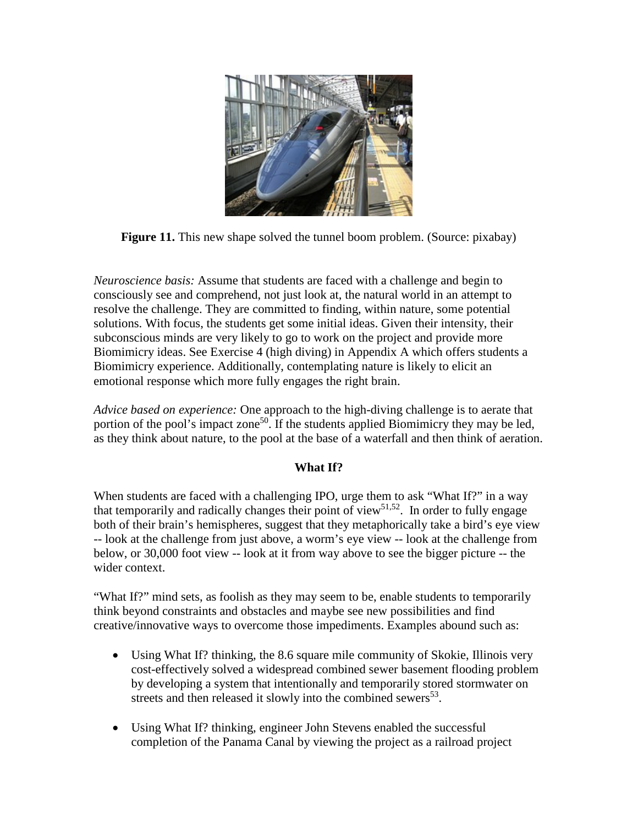

**Figure 11.** This new shape solved the tunnel boom problem. (Source: pixabay)

*Neuroscience basis:* Assume that students are faced with a challenge and begin to consciously see and comprehend, not just look at, the natural world in an attempt to resolve the challenge. They are committed to finding, within nature, some potential solutions. With focus, the students get some initial ideas. Given their intensity, their subconscious minds are very likely to go to work on the project and provide more Biomimicry ideas. See Exercise 4 (high diving) in Appendix A which offers students a Biomimicry experience. Additionally, contemplating nature is likely to elicit an emotional response which more fully engages the right brain.

*Advice based on experience:* One approach to the high-diving challenge is to aerate that portion of the pool's impact zone<sup>50</sup>. If the students applied Biomimicry they may be led, as they think about nature, to the pool at the base of a waterfall and then think of aeration.

### **What If?**

When students are faced with a challenging IPO, urge them to ask "What If?" in a way that temporarily and radically changes their point of view<sup>51,52</sup>. In order to fully engage both of their brain's hemispheres, suggest that they metaphorically take a bird's eye view -- look at the challenge from just above, a worm's eye view -- look at the challenge from below, or 30,000 foot view -- look at it from way above to see the bigger picture -- the wider context.

"What If?" mind sets, as foolish as they may seem to be, enable students to temporarily think beyond constraints and obstacles and maybe see new possibilities and find creative/innovative ways to overcome those impediments. Examples abound such as:

- Using What If? thinking, the 8.6 square mile community of Skokie, Illinois very cost-effectively solved a widespread combined sewer basement flooding problem by developing a system that intentionally and temporarily stored stormwater on streets and then released it slowly into the combined sewers<sup>53</sup>.
- Using What If? thinking, engineer John Stevens enabled the successful completion of the Panama Canal by viewing the project as a railroad project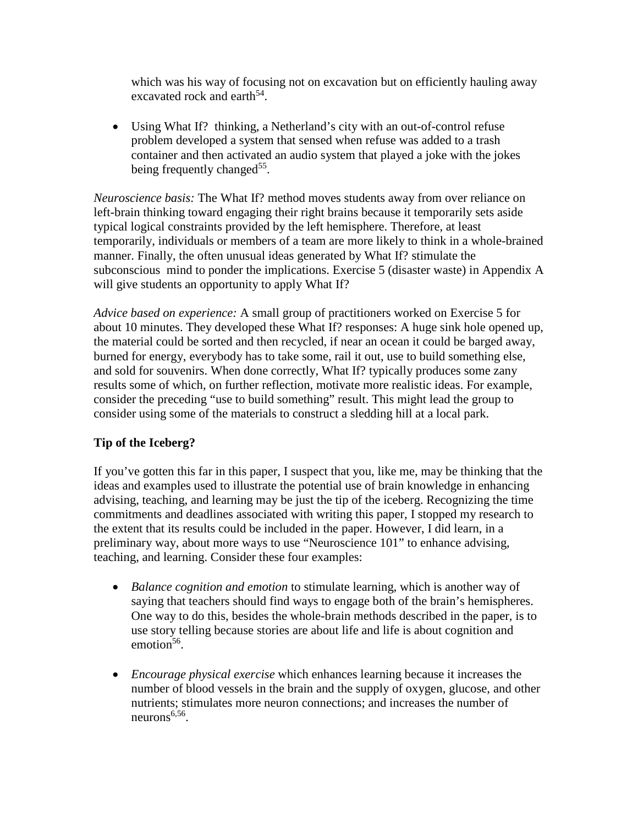which was his way of focusing not on excavation but on efficiently hauling away excavated rock and earth<sup>54</sup>.

• Using What If? thinking, a Netherland's city with an out-of-control refuse problem developed a system that sensed when refuse was added to a trash container and then activated an audio system that played a joke with the jokes being frequently changed<sup>55</sup>.

*Neuroscience basis:* The What If? method moves students away from over reliance on left-brain thinking toward engaging their right brains because it temporarily sets aside typical logical constraints provided by the left hemisphere. Therefore, at least temporarily, individuals or members of a team are more likely to think in a whole-brained manner. Finally, the often unusual ideas generated by What If? stimulate the subconscious mind to ponder the implications. Exercise 5 (disaster waste) in Appendix A will give students an opportunity to apply What If?

*Advice based on experience:* A small group of practitioners worked on Exercise 5 for about 10 minutes. They developed these What If? responses: A huge sink hole opened up, the material could be sorted and then recycled, if near an ocean it could be barged away, burned for energy, everybody has to take some, rail it out, use to build something else, and sold for souvenirs. When done correctly, What If? typically produces some zany results some of which, on further reflection, motivate more realistic ideas. For example, consider the preceding "use to build something" result. This might lead the group to consider using some of the materials to construct a sledding hill at a local park.

### **Tip of the Iceberg?**

If you've gotten this far in this paper, I suspect that you, like me, may be thinking that the ideas and examples used to illustrate the potential use of brain knowledge in enhancing advising, teaching, and learning may be just the tip of the iceberg. Recognizing the time commitments and deadlines associated with writing this paper, I stopped my research to the extent that its results could be included in the paper. However, I did learn, in a preliminary way, about more ways to use "Neuroscience 101" to enhance advising, teaching, and learning. Consider these four examples:

- *Balance cognition and emotion* to stimulate learning, which is another way of saying that teachers should find ways to engage both of the brain's hemispheres. One way to do this, besides the whole-brain methods described in the paper, is to use story telling because stories are about life and life is about cognition and emotion $56$ .
- *Encourage physical exercise* which enhances learning because it increases the number of blood vessels in the brain and the supply of oxygen, glucose, and other nutrients; stimulates more neuron connections; and increases the number of neurons $6,56$ .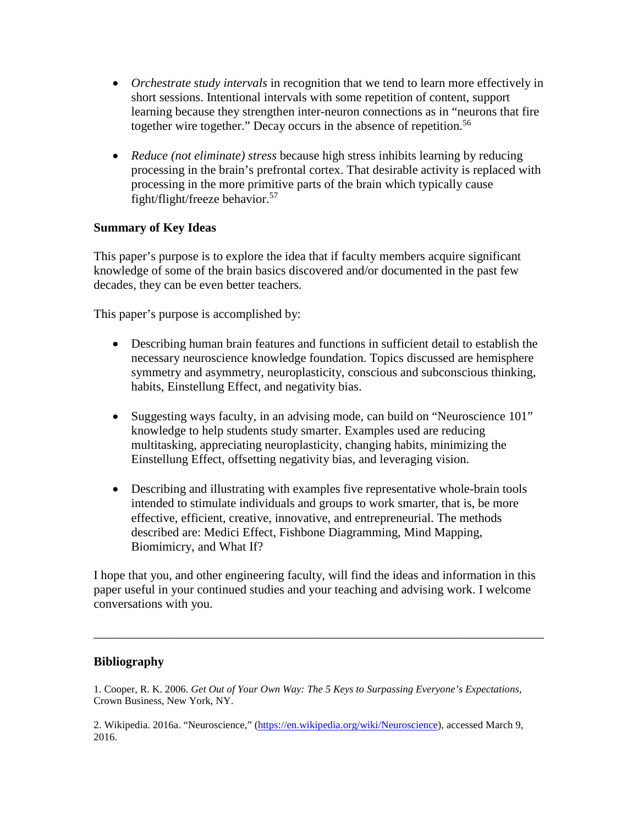- *Orchestrate study intervals* in recognition that we tend to learn more effectively in short sessions. Intentional intervals with some repetition of content, support learning because they strengthen inter-neuron connections as in "neurons that fire together wire together." Decay occurs in the absence of repetition.<sup>56</sup>
- *Reduce (not eliminate) stress* because high stress inhibits learning by reducing processing in the brain's prefrontal cortex. That desirable activity is replaced with processing in the more primitive parts of the brain which typically cause fight/flight/freeze behavior.<sup>57</sup>

### **Summary of Key Ideas**

This paper's purpose is to explore the idea that if faculty members acquire significant knowledge of some of the brain basics discovered and/or documented in the past few decades, they can be even better teachers.

This paper's purpose is accomplished by:

- Describing human brain features and functions in sufficient detail to establish the necessary neuroscience knowledge foundation. Topics discussed are hemisphere symmetry and asymmetry, neuroplasticity, conscious and subconscious thinking, habits, Einstellung Effect, and negativity bias.
- Suggesting ways faculty, in an advising mode, can build on "Neuroscience 101" knowledge to help students study smarter. Examples used are reducing multitasking, appreciating neuroplasticity, changing habits, minimizing the Einstellung Effect, offsetting negativity bias, and leveraging vision.
- Describing and illustrating with examples five representative whole-brain tools intended to stimulate individuals and groups to work smarter, that is, be more effective, efficient, creative, innovative, and entrepreneurial. The methods described are: Medici Effect, Fishbone Diagramming, Mind Mapping, Biomimicry, and What If?

I hope that you, and other engineering faculty, will find the ideas and information in this paper useful in your continued studies and your teaching and advising work. I welcome conversations with you.

\_\_\_\_\_\_\_\_\_\_\_\_\_\_\_\_\_\_\_\_\_\_\_\_\_\_\_\_\_\_\_\_\_\_\_\_\_\_\_\_\_\_\_\_\_\_\_\_\_\_\_\_\_\_\_\_\_\_\_\_\_\_\_\_\_\_\_\_\_\_\_\_

### **Bibliography**

1. Cooper, R. K. 2006. *Get Out of Your Own Way: The 5 Keys to Surpassing Everyone's Expectations,* Crown Business, New York, NY.

2. Wikipedia. 2016a. "Neuroscience," [\(https://en.wikipedia.org/wiki/Neuroscience\)](https://en.wikipedia.org/wiki/Neuroscience), accessed March 9, 2016.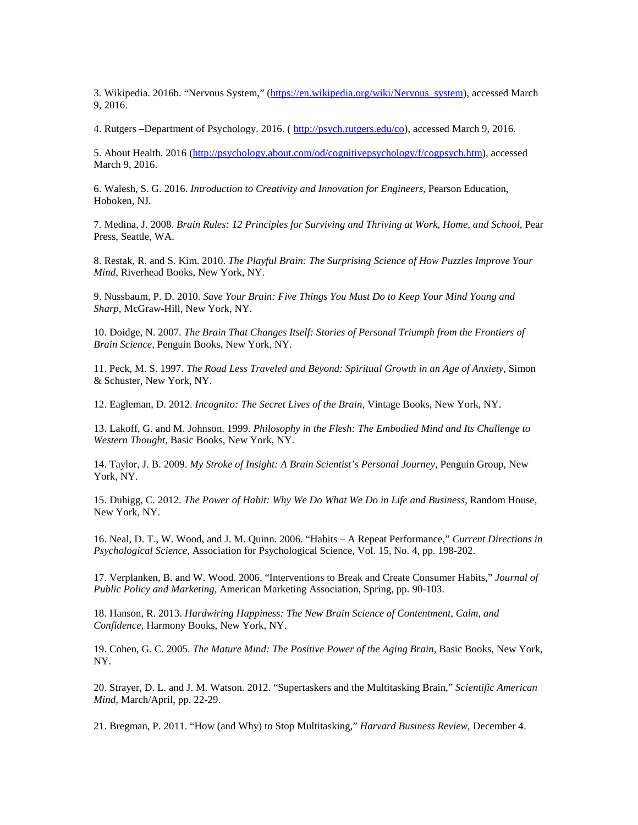3. Wikipedia. 2016b. "Nervous System," [\(https://en.wikipedia.org/wiki/Nervous\\_system\)](https://en.wikipedia.org/wiki/Nervous_system), accessed March 9, 2016.

4. Rutgers –Department of Psychology. 2016. [\( http://psych.rutgers.edu/co\)](http://psych.rutgers.edu/co), accessed March 9, 2016.

5. About Health. 2016 [\(http://psychology.about.com/od/cognitivepsychology/f/cogpsych.htm\)](http://psychology.about.com/od/cognitivepsychology/f/cogpsych.htm), accessed March 9, 2016.

6. Walesh, S. G. 2016. *Introduction to Creativity and Innovation for Engineers,* Pearson Education, Hoboken, NJ*.*

7. Medina, J. 2008. *Brain Rules: 12 Principles for Surviving and Thriving at Work, Home, and School,* Pear Press, Seattle, WA.

8. Restak, R. and S. Kim. 2010. *The Playful Brain: The Surprising Science of How Puzzles Improve Your Mind,* Riverhead Books, New York, NY.

9. Nussbaum, P. D. 2010. *Save Your Brain: Five Things You Must Do to Keep Your Mind Young and Sharp,* McGraw-Hill, New York, NY.

10. Doidge, N. 2007. *The Brain That Changes Itself: Stories of Personal Triumph from the Frontiers of Brain Science,* Penguin Books, New York, NY.

11. Peck, M. S. 1997. *The Road Less Traveled and Beyond: Spiritual Growth in an Age of Anxiety,* Simon & Schuster, New York, NY.

12. Eagleman, D. 2012. *Incognito: The Secret Lives of the Brain,* Vintage Books, New York, NY.

13. Lakoff, G. and M. Johnson. 1999. *Philosophy in the Flesh: The Embodied Mind and Its Challenge to Western Thought,* Basic Books, New York, NY.

14. Taylor, J. B. 2009. *My Stroke of Insight: A Brain Scientist's Personal Journey,* Penguin Group, New York, NY.

15. Duhigg, C. 2012. *The Power of Habit: Why We Do What We Do in Life and Business,* Random House, New York, NY.

16. Neal, D. T., W. Wood, and J. M. Quinn. 2006. "Habits – A Repeat Performance," *Current Directions in Psychological Science,* Association for Psychological Science, Vol. 15, No. 4, pp. 198-202.

17. Verplanken, B. and W. Wood. 2006. "Interventions to Break and Create Consumer Habits," *Journal of Public Policy and Marketing,* American Marketing Association, Spring, pp. 90-103.

18. Hanson, R. 2013. *Hardwiring Happiness: The New Brain Science of Contentment, Calm, and Confidence,* Harmony Books, New York, NY.

19. Cohen, G. C. 2005. *The Mature Mind: The Positive Power of the Aging Brain,* Basic Books, New York, NY.

20. Strayer, D. L. and J. M. Watson. 2012. "Supertaskers and the Multitasking Brain," *Scientific American Mind,* March/April, pp. 22-29.

21. Bregman, P. 2011. "How (and Why) to Stop Multitasking," *Harvard Business Review,* December 4.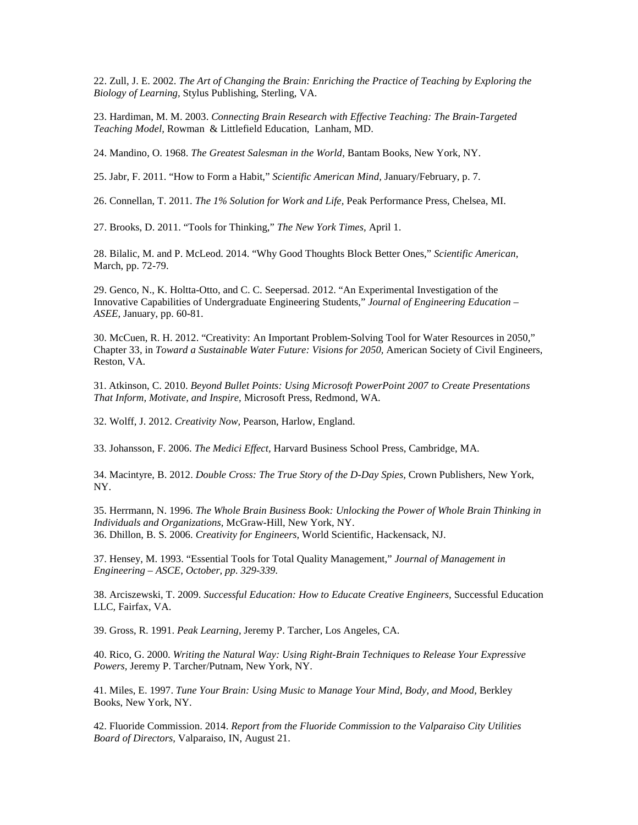22. Zull, J. E. 2002. *The Art of Changing the Brain: Enriching the Practice of Teaching by Exploring the Biology of Learning,* Stylus Publishing, Sterling, VA.

23. Hardiman, M. M. 2003. *Connecting Brain Research with Effective Teaching: The Brain-Targeted Teaching Model,* Rowman & Littlefield Education, Lanham, MD.

24. Mandino, O. 1968. *The Greatest Salesman in the World,* Bantam Books, New York, NY.

25. Jabr, F. 2011. "How to Form a Habit," *Scientific American Mind,* January/February, p. 7.

26. Connellan, T. 2011. *The 1% Solution for Work and Life,* Peak Performance Press, Chelsea, MI.

27. Brooks, D. 2011. "Tools for Thinking," *The New York Times,* April 1.

28. Bilalic, M. and P. McLeod. 2014. "Why Good Thoughts Block Better Ones," *Scientific American,*  March, pp. 72-79.

29. Genco, N., K. Holtta-Otto, and C. C. Seepersad. 2012. "An Experimental Investigation of the Innovative Capabilities of Undergraduate Engineering Students," *Journal of Engineering Education – ASEE,* January, pp. 60-81.

30. McCuen, R. H. 2012. "Creativity: An Important Problem-Solving Tool for Water Resources in 2050," Chapter 33, in *Toward a Sustainable Water Future: Visions for 2050,* American Society of Civil Engineers, Reston, VA.

31. Atkinson, C. 2010. *Beyond Bullet Points: Using Microsoft PowerPoint 2007 to Create Presentations That Inform, Motivate, and Inspire,* Microsoft Press, Redmond, WA.

32. Wolff, J. 2012. *Creativity Now,* Pearson, Harlow, England.

33. Johansson, F. 2006. *The Medici Effect,* Harvard Business School Press, Cambridge, MA.

34. Macintyre, B. 2012. *Double Cross: The True Story of the D-Day Spies,* Crown Publishers, New York, NY.

35. Herrmann, N. 1996. *The Whole Brain Business Book: Unlocking the Power of Whole Brain Thinking in Individuals and Organizations,* McGraw-Hill, New York, NY. 36. Dhillon, B. S. 2006. *Creativity for Engineers,* World Scientific, Hackensack, NJ.

37. Hensey, M. 1993. "Essential Tools for Total Quality Management," *Journal of Management in Engineering – ASCE, October, pp. 329-339.* 

38. Arciszewski, T. 2009. *Successful Education: How to Educate Creative Engineers,* Successful Education LLC, Fairfax, VA.

39. Gross, R. 1991. *Peak Learning,* Jeremy P. Tarcher, Los Angeles, CA.

40. Rico, G. 2000. *Writing the Natural Way: Using Right-Brain Techniques to Release Your Expressive Powers,* Jeremy P. Tarcher/Putnam, New York, NY.

41. Miles, E. 1997. *Tune Your Brain: Using Music to Manage Your Mind, Body, and Mood,* Berkley Books, New York, NY.

42. Fluoride Commission. 2014. *Report from the Fluoride Commission to the Valparaiso City Utilities Board of Directors,* Valparaiso, IN, August 21.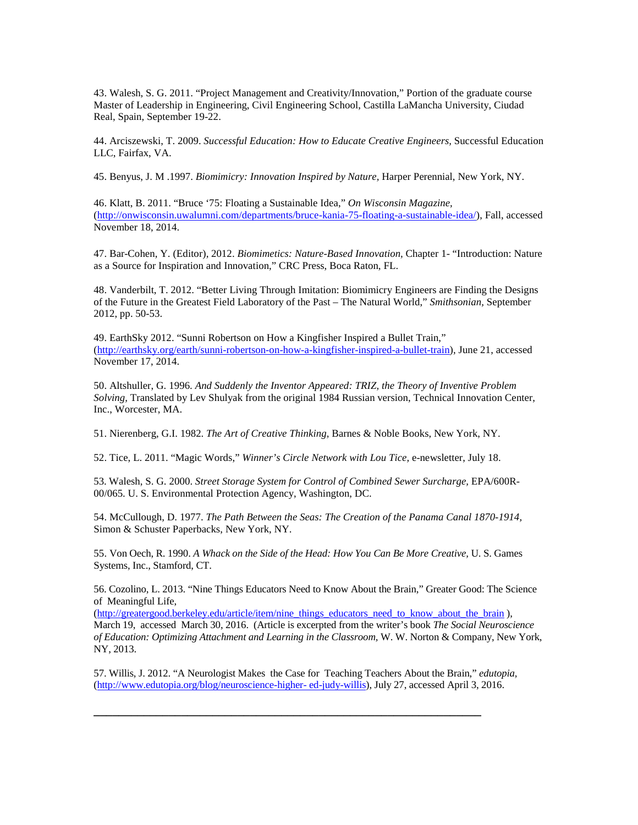43. Walesh, S. G. 2011. "Project Management and Creativity/Innovation," Portion of the graduate course Master of Leadership in Engineering, Civil Engineering School, Castilla LaMancha University, Ciudad Real, Spain, September 19-22.

44. Arciszewski, T. 2009. *Successful Education: How to Educate Creative Engineers,* Successful Education LLC, Fairfax, VA.

45. Benyus, J. M .1997. *Biomimicry: Innovation Inspired by Nature,* Harper Perennial, New York, NY.

46. Klatt, B. 2011. "Bruce '75: Floating a Sustainable Idea," *On Wisconsin Magazine,* [\(http://onwisconsin.uwalumni.com/departments/bruce-kania-75-floating-a-sustainable-idea/\)](http://onwisconsin.uwalumni.com/departments/bruce-kania-75-floating-a-sustainable-idea/), Fall, accessed November 18, 2014.

47. Bar-Cohen, Y. (Editor), 2012. *Biomimetics: Nature-Based Innovation,* Chapter 1- "Introduction: Nature as a Source for Inspiration and Innovation," CRC Press, Boca Raton, FL.

48. Vanderbilt, T. 2012. "Better Living Through Imitation: Biomimicry Engineers are Finding the Designs of the Future in the Greatest Field Laboratory of the Past – The Natural World," *Smithsonian,* September 2012, pp. 50-53.

49. EarthSky 2012. "Sunni Robertson on How a Kingfisher Inspired a Bullet Train," [\(http://earthsky.org/earth/sunni-robertson-on-how-a-kingfisher-inspired-a-bullet-train\)](http://earthsky.org/earth/sunni-robertson-on-how-a-kingfisher-inspired-a-bullet-train), June 21, accessed November 17, 2014.

50. Altshuller, G. 1996. *And Suddenly the Inventor Appeared: TRIZ, the Theory of Inventive Problem Solving,* Translated by Lev Shulyak from the original 1984 Russian version, Technical Innovation Center, Inc., Worcester, MA.

51. Nierenberg, G.I. 1982. *The Art of Creative Thinking,* Barnes & Noble Books, New York, NY.

52. Tice, L. 2011. "Magic Words," *Winner's Circle Network with Lou Tice,* e-newsletter, July 18.

53. Walesh, S. G. 2000. *Street Storage System for Control of Combined Sewer Surcharge,* EPA/600R-00/065. U. S. Environmental Protection Agency, Washington, DC.

54. McCullough, D. 1977. *The Path Between the Seas: The Creation of the Panama Canal 1870-1914,*  Simon & Schuster Paperbacks, New York, NY.

55. Von Oech, R. 1990. *A Whack on the Side of the Head: How You Can Be More Creative,* U. S. Games Systems, Inc., Stamford, CT.

56. Cozolino, L. 2013. "Nine Things Educators Need to Know About the Brain," Greater Good: The Science of Meaningful Life,

[\(http://greatergood.berkeley.edu/article/item/nine\\_things\\_educators\\_need\\_to\\_know\\_about\\_the\\_brain](http://greatergood.berkeley.edu/article/item/nine_things_educators_need_to_know_about_the_brain) ), March 19, accessed March 30, 2016. (Article is excerpted from the writer's book *The Social Neuroscience of Education: Optimizing Attachment and Learning in the Classroom,* W. W. Norton & Company, New York, NY, 2013.

57. Willis, J. 2012. "A Neurologist Makes the Case for Teaching Teachers About the Brain," *edutopia,*  [\(http://www.edutopia.org/blog/neuroscience-higher-](http://www.edutopia.org/blog/neuroscience-higher-%20ed-judy-willis) ed-judy-willis), July 27, accessed April 3, 2016.

**\_\_\_\_\_\_\_\_\_\_\_\_\_\_\_\_\_\_\_\_\_\_\_\_\_\_\_\_\_\_\_\_\_\_\_\_\_\_\_\_\_\_\_\_\_\_\_\_\_\_\_\_\_\_\_\_\_\_\_\_\_\_**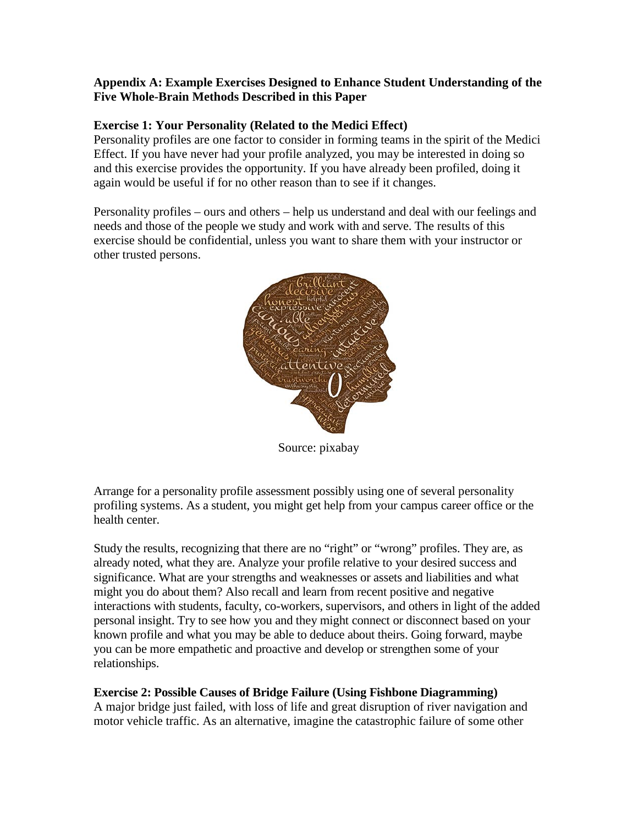### **Appendix A: Example Exercises Designed to Enhance Student Understanding of the Five Whole-Brain Methods Described in this Paper**

### **Exercise 1: Your Personality (Related to the Medici Effect)**

Personality profiles are one factor to consider in forming teams in the spirit of the Medici Effect. If you have never had your profile analyzed, you may be interested in doing so and this exercise provides the opportunity. If you have already been profiled, doing it again would be useful if for no other reason than to see if it changes.

Personality profiles – ours and others – help us understand and deal with our feelings and needs and those of the people we study and work with and serve. The results of this exercise should be confidential, unless you want to share them with your instructor or other trusted persons.



Source: pixabay

Arrange for a personality profile assessment possibly using one of several personality profiling systems. As a student, you might get help from your campus career office or the health center.

Study the results, recognizing that there are no "right" or "wrong" profiles. They are, as already noted, what they are. Analyze your profile relative to your desired success and significance. What are your strengths and weaknesses or assets and liabilities and what might you do about them? Also recall and learn from recent positive and negative interactions with students, faculty, co-workers, supervisors, and others in light of the added personal insight. Try to see how you and they might connect or disconnect based on your known profile and what you may be able to deduce about theirs. Going forward, maybe you can be more empathetic and proactive and develop or strengthen some of your relationships.

### **Exercise 2: Possible Causes of Bridge Failure (Using Fishbone Diagramming)**

A major bridge just failed, with loss of life and great disruption of river navigation and motor vehicle traffic. As an alternative, imagine the catastrophic failure of some other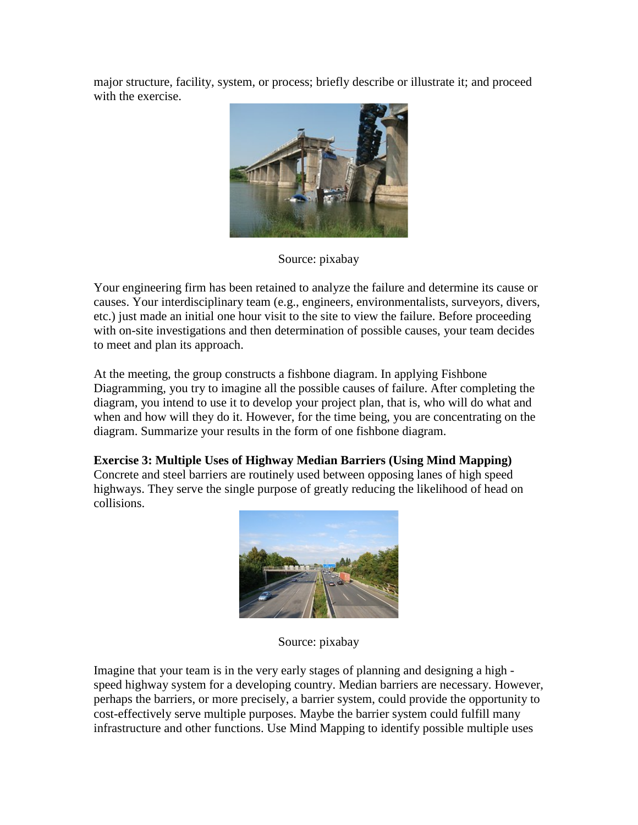major structure, facility, system, or process; briefly describe or illustrate it; and proceed with the exercise.



Source: pixabay

Your engineering firm has been retained to analyze the failure and determine its cause or causes. Your interdisciplinary team (e.g., engineers, environmentalists, surveyors, divers, etc.) just made an initial one hour visit to the site to view the failure. Before proceeding with on-site investigations and then determination of possible causes, your team decides to meet and plan its approach.

At the meeting, the group constructs a fishbone diagram. In applying Fishbone Diagramming, you try to imagine all the possible causes of failure. After completing the diagram, you intend to use it to develop your project plan, that is, who will do what and when and how will they do it. However, for the time being, you are concentrating on the diagram. Summarize your results in the form of one fishbone diagram.

# **Exercise 3: Multiple Uses of Highway Median Barriers (Using Mind Mapping)**

Concrete and steel barriers are routinely used between opposing lanes of high speed highways. They serve the single purpose of greatly reducing the likelihood of head on collisions.



Source: pixabay

Imagine that your team is in the very early stages of planning and designing a high speed highway system for a developing country. Median barriers are necessary. However, perhaps the barriers, or more precisely, a barrier system, could provide the opportunity to cost-effectively serve multiple purposes. Maybe the barrier system could fulfill many infrastructure and other functions. Use Mind Mapping to identify possible multiple uses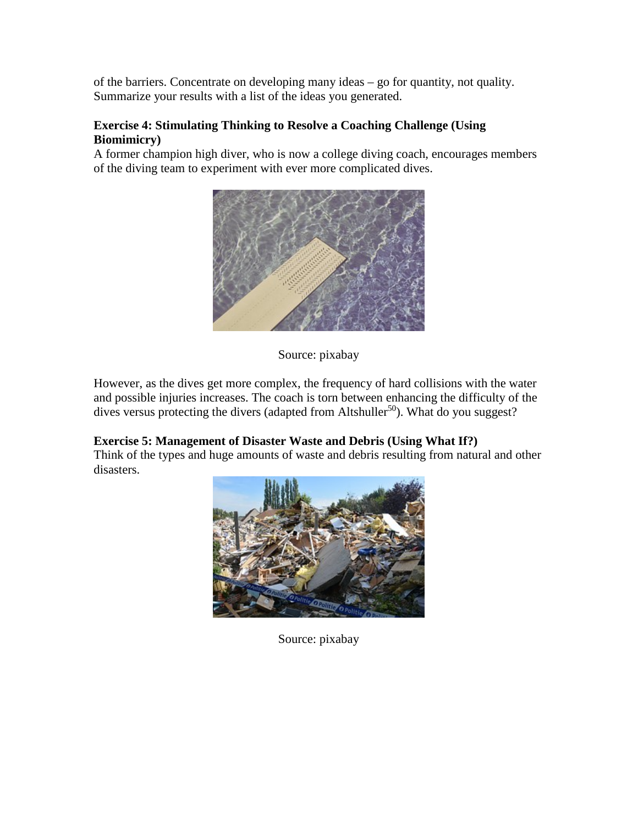of the barriers. Concentrate on developing many ideas – go for quantity, not quality. Summarize your results with a list of the ideas you generated.

### **Exercise 4: Stimulating Thinking to Resolve a Coaching Challenge (Using Biomimicry)**

A former champion high diver, who is now a college diving coach, encourages members of the diving team to experiment with ever more complicated dives.



Source: pixabay

However, as the dives get more complex, the frequency of hard collisions with the water and possible injuries increases. The coach is torn between enhancing the difficulty of the dives versus protecting the divers (adapted from Altshuller<sup>50</sup>). What do you suggest?

## **Exercise 5: Management of Disaster Waste and Debris (Using What If?)**

Think of the types and huge amounts of waste and debris resulting from natural and other disasters.



Source: pixabay